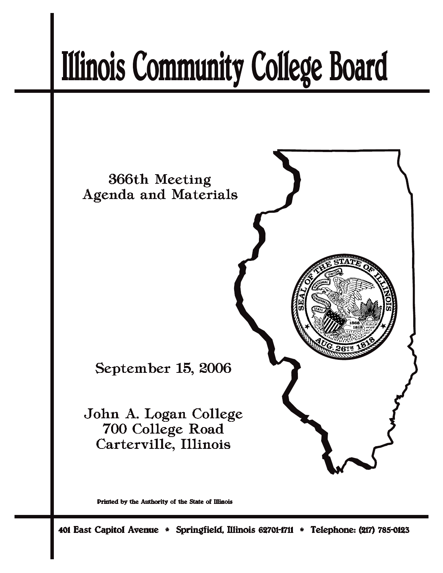# **Illinois Community College Board**



Printed by the Authority of the State of Illinois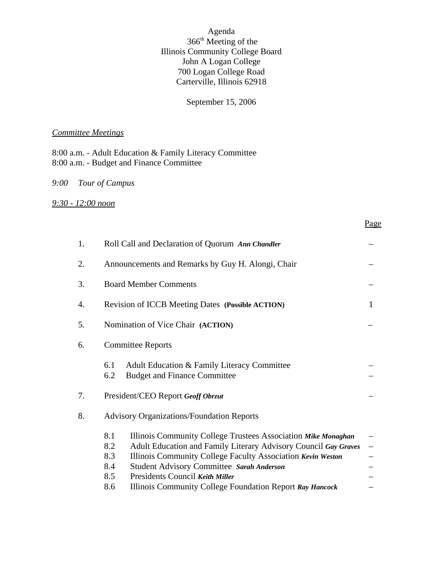Agenda 366th Meeting of the Illinois Community College Board John A Logan College 700 Logan College Road Carterville, Illinois 62918

## September 15, 2006

#### *Committee Meetings*

8:00 a.m. - Adult Education & Family Literacy Committee 8:00 a.m. - Budget and Finance Committee

## *9:00 Tour of Campus*

#### *9:30 - 12:00 noon*

| 1. | Roll Call and Declaration of Quorum Ann Chandler                                                                                                                                                                                                                                                                                                                                             |                   |  |  |
|----|----------------------------------------------------------------------------------------------------------------------------------------------------------------------------------------------------------------------------------------------------------------------------------------------------------------------------------------------------------------------------------------------|-------------------|--|--|
| 2. | Announcements and Remarks by Guy H. Alongi, Chair                                                                                                                                                                                                                                                                                                                                            |                   |  |  |
| 3. | <b>Board Member Comments</b>                                                                                                                                                                                                                                                                                                                                                                 |                   |  |  |
| 4. | <b>Revision of ICCB Meeting Dates (Possible ACTION)</b><br>$\mathbf{1}$                                                                                                                                                                                                                                                                                                                      |                   |  |  |
| 5. | Nomination of Vice Chair (ACTION)                                                                                                                                                                                                                                                                                                                                                            |                   |  |  |
| 6. | <b>Committee Reports</b>                                                                                                                                                                                                                                                                                                                                                                     |                   |  |  |
|    | Adult Education & Family Literacy Committee<br>6.1<br>6.2<br><b>Budget and Finance Committee</b>                                                                                                                                                                                                                                                                                             |                   |  |  |
| 7. | President/CEO Report Geoff Obrzut                                                                                                                                                                                                                                                                                                                                                            |                   |  |  |
| 8. | <b>Advisory Organizations/Foundation Reports</b>                                                                                                                                                                                                                                                                                                                                             |                   |  |  |
|    | 8.1<br>Illinois Community College Trustees Association Mike Monaghan<br>Adult Education and Family Literary Advisory Council Gay Graves<br>8.2<br>Illinois Community College Faculty Association Kevin Weston<br>8.3<br><b>Student Advisory Committee Sarah Anderson</b><br>8.4<br>Presidents Council Keith Miller<br>8.5<br>8.6<br>Illinois Community College Foundation Report Ray Hancock | $\qquad \qquad -$ |  |  |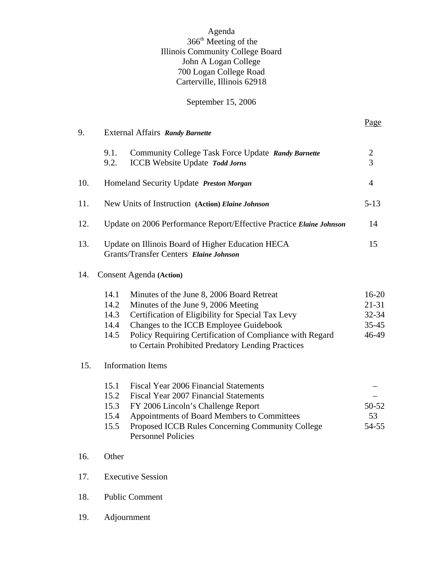## Agenda 366th Meeting of the Illinois Community College Board John A Logan College 700 Logan College Road Carterville, Illinois 62918

## September 15, 2006

|     |                                      |                                                                                                                                                                                                                                                                                                  | Page                                                  |  |  |
|-----|--------------------------------------|--------------------------------------------------------------------------------------------------------------------------------------------------------------------------------------------------------------------------------------------------------------------------------------------------|-------------------------------------------------------|--|--|
| 9.  |                                      | External Affairs Randy Barnette                                                                                                                                                                                                                                                                  |                                                       |  |  |
|     | 9.1.<br>9.2.                         | Community College Task Force Update Randy Barnette<br><b>ICCB</b> Website Update Todd Jorns                                                                                                                                                                                                      | $\overline{c}$<br>$\overline{3}$                      |  |  |
| 10. |                                      | Homeland Security Update Preston Morgan                                                                                                                                                                                                                                                          | $\overline{4}$                                        |  |  |
| 11. |                                      | New Units of Instruction (Action) Elaine Johnson                                                                                                                                                                                                                                                 | $5 - 13$                                              |  |  |
| 12. |                                      | Update on 2006 Performance Report/Effective Practice Elaine Johnson                                                                                                                                                                                                                              | 14                                                    |  |  |
| 13. |                                      | Update on Illinois Board of Higher Education HECA<br>Grants/Transfer Centers Elaine Johnson                                                                                                                                                                                                      | 15                                                    |  |  |
| 14. |                                      | <b>Consent Agenda</b> (Action)                                                                                                                                                                                                                                                                   |                                                       |  |  |
|     | 14.1<br>14.2<br>14.3<br>14.4<br>14.5 | Minutes of the June 8, 2006 Board Retreat<br>Minutes of the June 9, 2006 Meeting<br>Certification of Eligibility for Special Tax Levy<br>Changes to the ICCB Employee Guidebook<br>Policy Requiring Certification of Compliance with Regard<br>to Certain Prohibited Predatory Lending Practices | $16 - 20$<br>$21 - 31$<br>32-34<br>$35 - 45$<br>46-49 |  |  |
| 15. |                                      | <b>Information Items</b>                                                                                                                                                                                                                                                                         |                                                       |  |  |
|     | 15.1<br>15.2<br>15.3<br>15.4<br>15.5 | <b>Fiscal Year 2006 Financial Statements</b><br><b>Fiscal Year 2007 Financial Statements</b><br>FY 2006 Lincoln's Challenge Report<br>Appointments of Board Members to Committees<br>Proposed ICCB Rules Concerning Community College<br><b>Personnel Policies</b>                               | 50-52<br>53<br>54-55                                  |  |  |
| 16. | Other                                |                                                                                                                                                                                                                                                                                                  |                                                       |  |  |
| 17. |                                      | <b>Executive Session</b>                                                                                                                                                                                                                                                                         |                                                       |  |  |
| 18. | <b>Public Comment</b>                |                                                                                                                                                                                                                                                                                                  |                                                       |  |  |
| 19. |                                      | Adjournment                                                                                                                                                                                                                                                                                      |                                                       |  |  |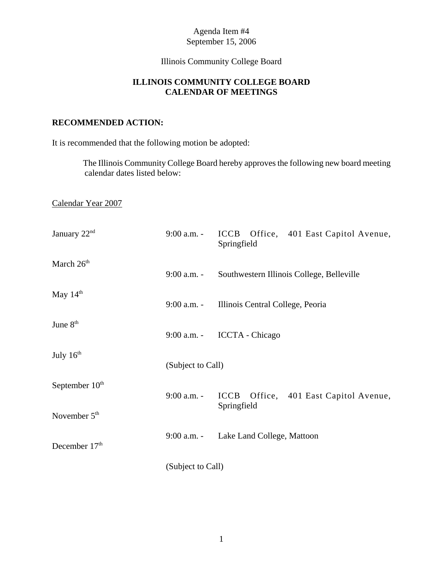## Illinois Community College Board

## **ILLINOIS COMMUNITY COLLEGE BOARD CALENDAR OF MEETINGS**

## **RECOMMENDED ACTION:**

It is recommended that the following motion be adopted:

 The Illinois Community College Board hereby approves the following new board meeting calendar dates listed below:

Calendar Year 2007

| January 22 <sup>nd</sup>   | $9:00$ a.m. -     | ICCB Office, 401 East Capitol Avenue,<br>Springfield |  |
|----------------------------|-------------------|------------------------------------------------------|--|
| March 26 <sup>th</sup>     | $9:00$ a.m. -     | Southwestern Illinois College, Belleville            |  |
| May $14th$                 | 9:00 a.m. -       | Illinois Central College, Peoria                     |  |
| June 8 <sup>th</sup>       | $9:00$ a.m. -     | <b>ICCTA</b> - Chicago                               |  |
| July $16th$                | (Subject to Call) |                                                      |  |
| September 10 <sup>th</sup> | 9:00 a.m. -       | ICCB Office, 401 East Capitol Avenue,                |  |
| November $5th$             |                   | Springfield                                          |  |
| December $17th$            | 9:00 a.m. -       | Lake Land College, Mattoon                           |  |
|                            | (Subject to Call) |                                                      |  |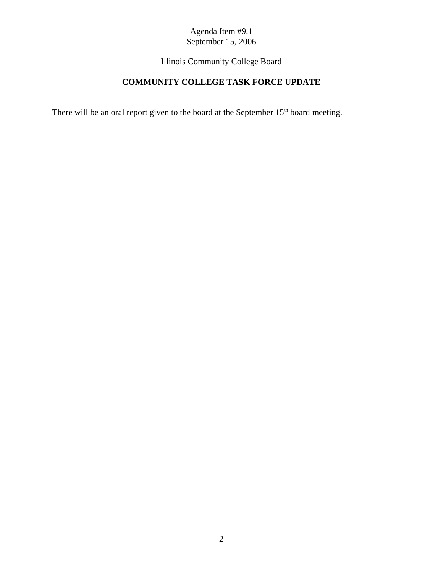Illinois Community College Board

# **COMMUNITY COLLEGE TASK FORCE UPDATE**

There will be an oral report given to the board at the September 15<sup>th</sup> board meeting.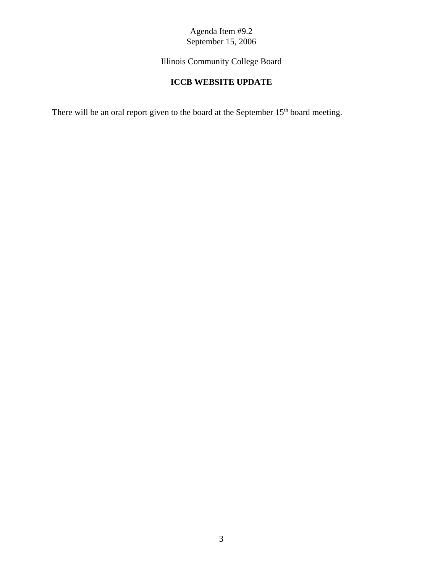Illinois Community College Board

# **ICCB WEBSITE UPDATE**

There will be an oral report given to the board at the September 15<sup>th</sup> board meeting.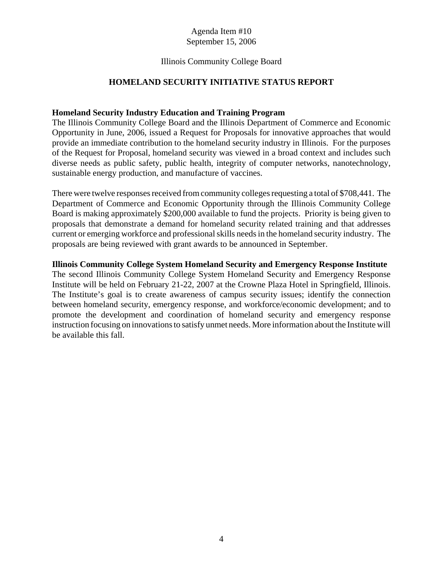#### Illinois Community College Board

#### **HOMELAND SECURITY INITIATIVE STATUS REPORT**

#### **Homeland Security Industry Education and Training Program**

The Illinois Community College Board and the Illinois Department of Commerce and Economic Opportunity in June, 2006, issued a Request for Proposals for innovative approaches that would provide an immediate contribution to the homeland security industry in Illinois. For the purposes of the Request for Proposal, homeland security was viewed in a broad context and includes such diverse needs as public safety, public health, integrity of computer networks, nanotechnology, sustainable energy production, and manufacture of vaccines.

There were twelve responses received from community colleges requesting a total of \$708,441. The Department of Commerce and Economic Opportunity through the Illinois Community College Board is making approximately \$200,000 available to fund the projects. Priority is being given to proposals that demonstrate a demand for homeland security related training and that addresses current or emerging workforce and professional skills needs in the homeland security industry. The proposals are being reviewed with grant awards to be announced in September.

#### **Illinois Community College System Homeland Security and Emergency Response Institute**

The second Illinois Community College System Homeland Security and Emergency Response Institute will be held on February 21-22, 2007 at the Crowne Plaza Hotel in Springfield, Illinois. The Institute's goal is to create awareness of campus security issues; identify the connection between homeland security, emergency response, and workforce/economic development; and to promote the development and coordination of homeland security and emergency response instruction focusing on innovations to satisfy unmet needs. More information about the Institute will be available this fall.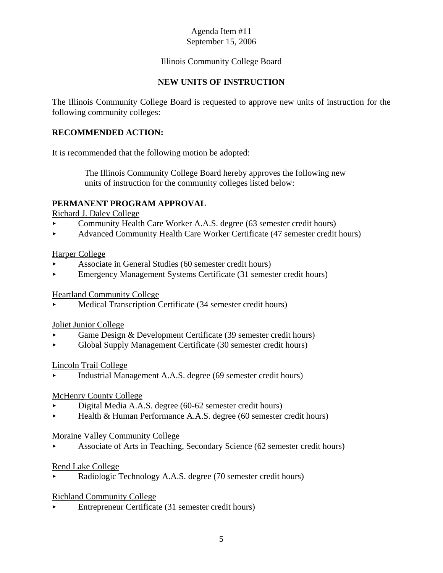## Illinois Community College Board

## **NEW UNITS OF INSTRUCTION**

The Illinois Community College Board is requested to approve new units of instruction for the following community colleges:

## **RECOMMENDED ACTION:**

It is recommended that the following motion be adopted:

 The Illinois Community College Board hereby approves the following new units of instruction for the community colleges listed below:

## **PERMANENT PROGRAM APPROVAL**

Richard J. Daley College

- < Community Health Care Worker A.A.S. degree (63 semester credit hours)
- Advanced Community Health Care Worker Certificate (47 semester credit hours)

#### Harper College

- < Associate in General Studies (60 semester credit hours)
- < Emergency Management Systems Certificate (31 semester credit hours)

#### Heartland Community College

< Medical Transcription Certificate (34 semester credit hours)

#### Joliet Junior College

- Game Design & Development Certificate (39 semester credit hours)
- $\triangleright$  Global Supply Management Certificate (30 semester credit hours)

## Lincoln Trail College

< Industrial Management A.A.S. degree (69 semester credit hours)

#### McHenry County College

- < Digital Media A.A.S. degree (60-62 semester credit hours)
- ► Health & Human Performance A.A.S. degree (60 semester credit hours)

#### Moraine Valley Community College

< Associate of Arts in Teaching, Secondary Science (62 semester credit hours)

#### Rend Lake College

< Radiologic Technology A.A.S. degree (70 semester credit hours)

## Richland Community College

< Entrepreneur Certificate (31 semester credit hours)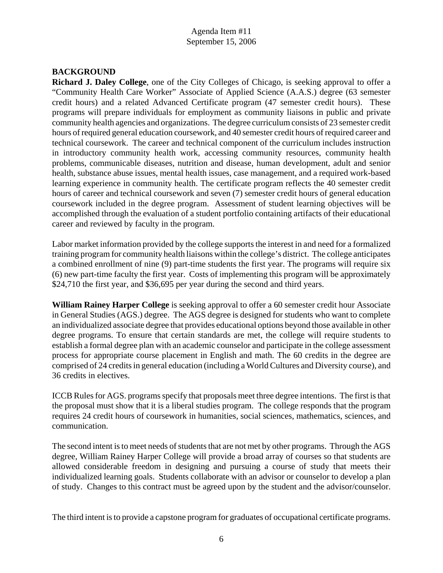## **BACKGROUND**

**Richard J. Daley College**, one of the City Colleges of Chicago, is seeking approval to offer a "Community Health Care Worker" Associate of Applied Science (A.A.S.) degree (63 semester credit hours) and a related Advanced Certificate program (47 semester credit hours). These programs will prepare individuals for employment as community liaisons in public and private community health agencies and organizations. The degree curriculum consists of 23 semester credit hours of required general education coursework, and 40 semester credit hours of required career and technical coursework. The career and technical component of the curriculum includes instruction in introductory community health work, accessing community resources, community health problems, communicable diseases, nutrition and disease, human development, adult and senior health, substance abuse issues, mental health issues, case management, and a required work-based learning experience in community health. The certificate program reflects the 40 semester credit hours of career and technical coursework and seven (7) semester credit hours of general education coursework included in the degree program. Assessment of student learning objectives will be accomplished through the evaluation of a student portfolio containing artifacts of their educational career and reviewed by faculty in the program.

Labor market information provided by the college supports the interest in and need for a formalized training program for community health liaisons within the college's district. The college anticipates a combined enrollment of nine (9) part-time students the first year. The programs will require six (6) new part-time faculty the first year. Costs of implementing this program will be approximately \$24,710 the first year, and \$36,695 per year during the second and third years.

**William Rainey Harper College** is seeking approval to offer a 60 semester credit hour Associate in General Studies (AGS.) degree. The AGS degree is designed for students who want to complete an individualized associate degree that provides educational options beyond those available in other degree programs. To ensure that certain standards are met, the college will require students to establish a formal degree plan with an academic counselor and participate in the college assessment process for appropriate course placement in English and math. The 60 credits in the degree are comprised of 24 credits in general education (including a World Cultures and Diversity course), and 36 credits in electives.

ICCB Rules for AGS. programs specify that proposals meet three degree intentions. The first is that the proposal must show that it is a liberal studies program. The college responds that the program requires 24 credit hours of coursework in humanities, social sciences, mathematics, sciences, and communication.

The second intent is to meet needs of students that are not met by other programs. Through the AGS degree, William Rainey Harper College will provide a broad array of courses so that students are allowed considerable freedom in designing and pursuing a course of study that meets their individualized learning goals. Students collaborate with an advisor or counselor to develop a plan of study. Changes to this contract must be agreed upon by the student and the advisor/counselor.

The third intent is to provide a capstone program for graduates of occupational certificate programs.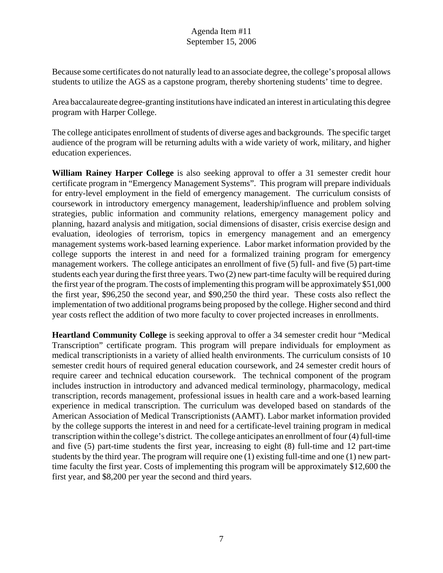Because some certificates do not naturally lead to an associate degree, the college's proposal allows students to utilize the AGS as a capstone program, thereby shortening students' time to degree.

Area baccalaureate degree-granting institutions have indicated an interest in articulating this degree program with Harper College.

The college anticipates enrollment of students of diverse ages and backgrounds. The specific target audience of the program will be returning adults with a wide variety of work, military, and higher education experiences.

**William Rainey Harper College** is also seeking approval to offer a 31 semester credit hour certificate program in "Emergency Management Systems". This program will prepare individuals for entry-level employment in the field of emergency management. The curriculum consists of coursework in introductory emergency management, leadership/influence and problem solving strategies, public information and community relations, emergency management policy and planning, hazard analysis and mitigation, social dimensions of disaster, crisis exercise design and evaluation, ideologies of terrorism, topics in emergency management and an emergency management systems work-based learning experience. Labor market information provided by the college supports the interest in and need for a formalized training program for emergency management workers. The college anticipates an enrollment of five (5) full- and five (5) part-time students each year during the first three years. Two (2) new part-time faculty will be required during the first year of the program. The costs of implementing this program will be approximately \$51,000 the first year, \$96,250 the second year, and \$90,250 the third year. These costs also reflect the implementation of two additional programs being proposed by the college. Higher second and third year costs reflect the addition of two more faculty to cover projected increases in enrollments.

**Heartland Community College** is seeking approval to offer a 34 semester credit hour "Medical Transcription" certificate program. This program will prepare individuals for employment as medical transcriptionists in a variety of allied health environments. The curriculum consists of 10 semester credit hours of required general education coursework, and 24 semester credit hours of require career and technical education coursework. The technical component of the program includes instruction in introductory and advanced medical terminology, pharmacology, medical transcription, records management, professional issues in health care and a work-based learning experience in medical transcription. The curriculum was developed based on standards of the American Association of Medical Transcriptionists (AAMT). Labor market information provided by the college supports the interest in and need for a certificate-level training program in medical transcription within the college's district. The college anticipates an enrollment of four (4) full-time and five (5) part-time students the first year, increasing to eight (8) full-time and 12 part-time students by the third year. The program will require one (1) existing full-time and one (1) new parttime faculty the first year. Costs of implementing this program will be approximately \$12,600 the first year, and \$8,200 per year the second and third years.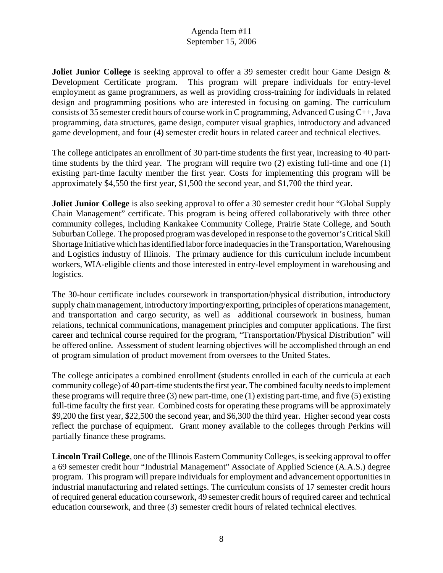**Joliet Junior College** is seeking approval to offer a 39 semester credit hour Game Design & Development Certificate program. This program will prepare individuals for entry-level employment as game programmers, as well as providing cross-training for individuals in related design and programming positions who are interested in focusing on gaming. The curriculum consists of 35 semester credit hours of course work in C programming, Advanced C using C++, Java programming, data structures, game design, computer visual graphics, introductory and advanced game development, and four (4) semester credit hours in related career and technical electives.

The college anticipates an enrollment of 30 part-time students the first year, increasing to 40 parttime students by the third year. The program will require two (2) existing full-time and one (1) existing part-time faculty member the first year. Costs for implementing this program will be approximately \$4,550 the first year, \$1,500 the second year, and \$1,700 the third year.

**Joliet Junior College** is also seeking approval to offer a 30 semester credit hour "Global Supply" Chain Management" certificate. This program is being offered collaboratively with three other community colleges, including Kankakee Community College, Prairie State College, and South Suburban College. The proposed program was developed in response to the governor's Critical Skill Shortage Initiative which has identified labor force inadequacies in the Transportation, Warehousing and Logistics industry of Illinois. The primary audience for this curriculum include incumbent workers, WIA-eligible clients and those interested in entry-level employment in warehousing and logistics.

The 30-hour certificate includes coursework in transportation/physical distribution, introductory supply chain management, introductory importing/exporting, principles of operations management, and transportation and cargo security, as well as additional coursework in business, human relations, technical communications, management principles and computer applications. The first career and technical course required for the program, "Transportation/Physical Distribution" will be offered online. Assessment of student learning objectives will be accomplished through an end of program simulation of product movement from oversees to the United States.

The college anticipates a combined enrollment (students enrolled in each of the curricula at each community college) of 40 part-time students the first year. The combined faculty needs to implement these programs will require three (3) new part-time, one (1) existing part-time, and five (5) existing full-time faculty the first year. Combined costs for operating these programs will be approximately \$9,200 the first year, \$22,500 the second year, and \$6,300 the third year. Higher second year costs reflect the purchase of equipment. Grant money available to the colleges through Perkins will partially finance these programs.

**Lincoln Trail College**, one of the Illinois Eastern Community Colleges, is seeking approval to offer a 69 semester credit hour "Industrial Management" Associate of Applied Science (A.A.S.) degree program. This program will prepare individuals for employment and advancement opportunities in industrial manufacturing and related settings. The curriculum consists of 17 semester credit hours of required general education coursework, 49 semester credit hours of required career and technical education coursework, and three (3) semester credit hours of related technical electives.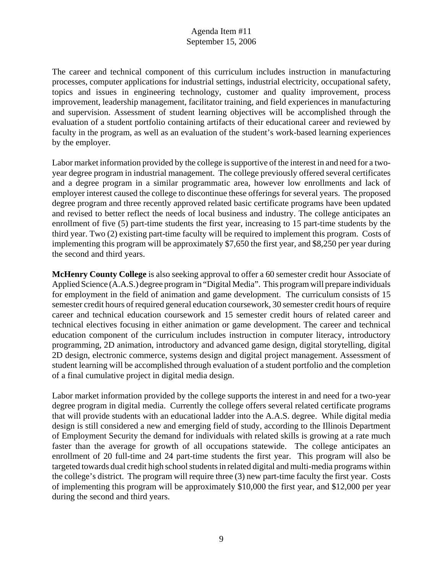The career and technical component of this curriculum includes instruction in manufacturing processes, computer applications for industrial settings, industrial electricity, occupational safety, topics and issues in engineering technology, customer and quality improvement, process improvement, leadership management, facilitator training, and field experiences in manufacturing and supervision. Assessment of student learning objectives will be accomplished through the evaluation of a student portfolio containing artifacts of their educational career and reviewed by faculty in the program, as well as an evaluation of the student's work-based learning experiences by the employer.

Labor market information provided by the college is supportive of the interest in and need for a twoyear degree program in industrial management. The college previously offered several certificates and a degree program in a similar programmatic area, however low enrollments and lack of employer interest caused the college to discontinue these offerings for several years. The proposed degree program and three recently approved related basic certificate programs have been updated and revised to better reflect the needs of local business and industry. The college anticipates an enrollment of five (5) part-time students the first year, increasing to 15 part-time students by the third year. Two (2) existing part-time faculty will be required to implement this program. Costs of implementing this program will be approximately \$7,650 the first year, and \$8,250 per year during the second and third years.

**McHenry County College** is also seeking approval to offer a 60 semester credit hour Associate of Applied Science (A.A.S.) degree program in "Digital Media". This program will prepare individuals for employment in the field of animation and game development. The curriculum consists of 15 semester credit hours of required general education coursework, 30 semester credit hours of require career and technical education coursework and 15 semester credit hours of related career and technical electives focusing in either animation or game development. The career and technical education component of the curriculum includes instruction in computer literacy, introductory programming, 2D animation, introductory and advanced game design, digital storytelling, digital 2D design, electronic commerce, systems design and digital project management. Assessment of student learning will be accomplished through evaluation of a student portfolio and the completion of a final cumulative project in digital media design.

Labor market information provided by the college supports the interest in and need for a two-year degree program in digital media. Currently the college offers several related certificate programs that will provide students with an educational ladder into the A.A.S. degree. While digital media design is still considered a new and emerging field of study, according to the Illinois Department of Employment Security the demand for individuals with related skills is growing at a rate much faster than the average for growth of all occupations statewide. The college anticipates an enrollment of 20 full-time and 24 part-time students the first year. This program will also be targeted towards dual credit high school students in related digital and multi-media programs within the college's district. The program will require three (3) new part-time faculty the first year. Costs of implementing this program will be approximately \$10,000 the first year, and \$12,000 per year during the second and third years.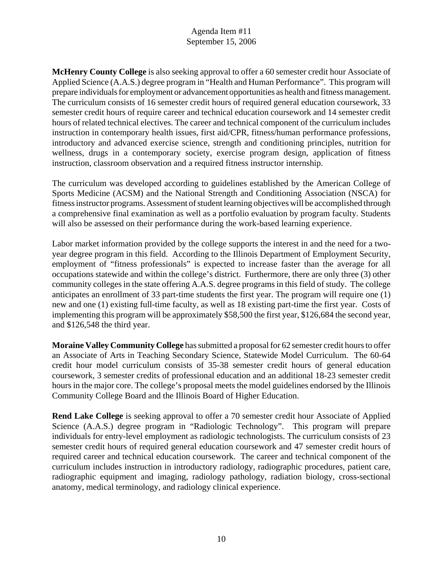**McHenry County College** is also seeking approval to offer a 60 semester credit hour Associate of Applied Science (A.A.S.) degree program in "Health and Human Performance". This program will prepare individuals for employment or advancement opportunities as health and fitness management. The curriculum consists of 16 semester credit hours of required general education coursework, 33 semester credit hours of require career and technical education coursework and 14 semester credit hours of related technical electives. The career and technical component of the curriculum includes instruction in contemporary health issues, first aid/CPR, fitness/human performance professions, introductory and advanced exercise science, strength and conditioning principles, nutrition for wellness, drugs in a contemporary society, exercise program design, application of fitness instruction, classroom observation and a required fitness instructor internship.

The curriculum was developed according to guidelines established by the American College of Sports Medicine (ACSM) and the National Strength and Conditioning Association (NSCA) for fitness instructor programs. Assessment of student learning objectives will be accomplished through a comprehensive final examination as well as a portfolio evaluation by program faculty. Students will also be assessed on their performance during the work-based learning experience.

Labor market information provided by the college supports the interest in and the need for a twoyear degree program in this field. According to the Illinois Department of Employment Security, employment of "fitness professionals" is expected to increase faster than the average for all occupations statewide and within the college's district. Furthermore, there are only three (3) other community colleges in the state offering A.A.S. degree programs in this field of study. The college anticipates an enrollment of 33 part-time students the first year. The program will require one (1) new and one (1) existing full-time faculty, as well as 18 existing part-time the first year. Costs of implementing this program will be approximately \$58,500 the first year, \$126,684 the second year, and \$126,548 the third year.

**Moraine Valley Community College** has submitted a proposal for 62 semester credit hours to offer an Associate of Arts in Teaching Secondary Science, Statewide Model Curriculum. The 60-64 credit hour model curriculum consists of 35-38 semester credit hours of general education coursework, 3 semester credits of professional education and an additional 18-23 semester credit hours in the major core. The college's proposal meets the model guidelines endorsed by the Illinois Community College Board and the Illinois Board of Higher Education.

**Rend Lake College** is seeking approval to offer a 70 semester credit hour Associate of Applied Science (A.A.S.) degree program in "Radiologic Technology". This program will prepare individuals for entry-level employment as radiologic technologists. The curriculum consists of 23 semester credit hours of required general education coursework and 47 semester credit hours of required career and technical education coursework. The career and technical component of the curriculum includes instruction in introductory radiology, radiographic procedures, patient care, radiographic equipment and imaging, radiology pathology, radiation biology, cross-sectional anatomy, medical terminology, and radiology clinical experience.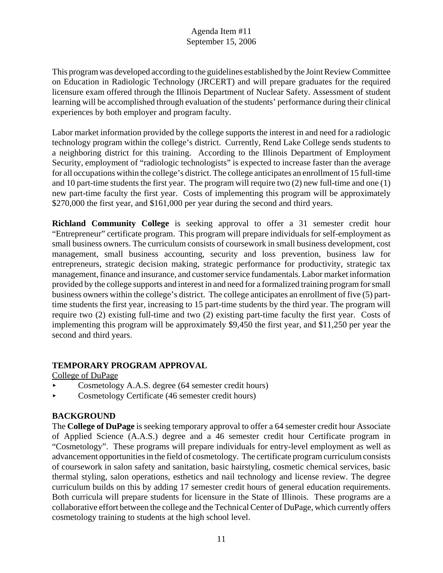This program was developed according to the guidelines established by the Joint Review Committee on Education in Radiologic Technology (JRCERT) and will prepare graduates for the required licensure exam offered through the Illinois Department of Nuclear Safety. Assessment of student learning will be accomplished through evaluation of the students' performance during their clinical experiences by both employer and program faculty.

Labor market information provided by the college supports the interest in and need for a radiologic technology program within the college's district. Currently, Rend Lake College sends students to a neighboring district for this training. According to the Illinois Department of Employment Security, employment of "radiologic technologists" is expected to increase faster than the average for all occupations within the college's district. The college anticipates an enrollment of 15 full-time and 10 part-time students the first year. The program will require two (2) new full-time and one (1) new part-time faculty the first year. Costs of implementing this program will be approximately \$270,000 the first year, and \$161,000 per year during the second and third years.

**Richland Community College** is seeking approval to offer a 31 semester credit hour "Entrepreneur" certificate program. This program will prepare individuals for self-employment as small business owners. The curriculum consists of coursework in small business development, cost management, small business accounting, security and loss prevention, business law for entrepreneurs, strategic decision making, strategic performance for productivity, strategic tax management, finance and insurance, and customer service fundamentals. Labor market information provided by the college supports and interest in and need for a formalized training program for small business owners within the college's district. The college anticipates an enrollment of five (5) parttime students the first year, increasing to 15 part-time students by the third year. The program will require two (2) existing full-time and two (2) existing part-time faculty the first year. Costs of implementing this program will be approximately \$9,450 the first year, and \$11,250 per year the second and third years.

## **TEMPORARY PROGRAM APPROVAL**

College of DuPage

- < Cosmetology A.A.S. degree (64 semester credit hours)
- Cosmetology Certificate (46 semester credit hours)

## **BACKGROUND**

The **College of DuPage** is seeking temporary approval to offer a 64 semester credit hour Associate of Applied Science (A.A.S.) degree and a 46 semester credit hour Certificate program in "Cosmetology". These programs will prepare individuals for entry-level employment as well as advancement opportunities in the field of cosmetology. The certificate program curriculum consists of coursework in salon safety and sanitation, basic hairstyling, cosmetic chemical services, basic thermal styling, salon operations, esthetics and nail technology and license review. The degree curriculum builds on this by adding 17 semester credit hours of general education requirements. Both curricula will prepare students for licensure in the State of Illinois. These programs are a collaborative effort between the college and the Technical Center of DuPage, which currently offers cosmetology training to students at the high school level.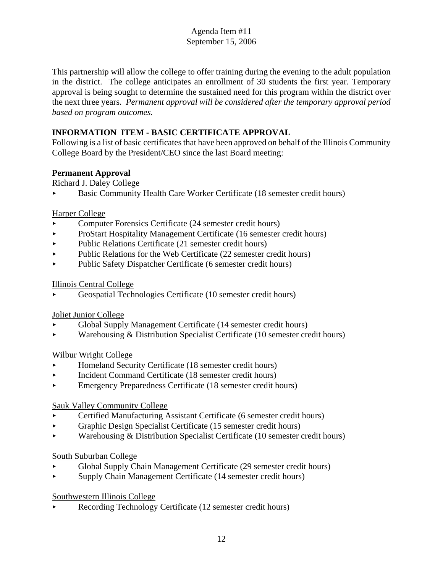This partnership will allow the college to offer training during the evening to the adult population in the district. The college anticipates an enrollment of 30 students the first year. Temporary approval is being sought to determine the sustained need for this program within the district over the next three years. *Permanent approval will be considered after the temporary approval period based on program outcomes.* 

## **INFORMATION ITEM - BASIC CERTIFICATE APPROVAL**

Following is a list of basic certificates that have been approved on behalf of the Illinois Community College Board by the President/CEO since the last Board meeting:

## **Permanent Approval**

Richard J. Daley College

< Basic Community Health Care Worker Certificate (18 semester credit hours)

## Harper College

- < Computer Forensics Certificate (24 semester credit hours)
- ProStart Hospitality Management Certificate (16 semester credit hours)
- Public Relations Certificate (21 semester credit hours)
- $\blacktriangleright$  Public Relations for the Web Certificate (22 semester credit hours)
- Public Safety Dispatcher Certificate (6 semester credit hours)

## Illinois Central College

< Geospatial Technologies Certificate (10 semester credit hours)

## Joliet Junior College

- < Global Supply Management Certificate (14 semester credit hours)
- < Warehousing & Distribution Specialist Certificate (10 semester credit hours)

## Wilbur Wright College

- < Homeland Security Certificate (18 semester credit hours)
- < Incident Command Certificate (18 semester credit hours)
- < Emergency Preparedness Certificate (18 semester credit hours)

## Sauk Valley Community College

- < Certified Manufacturing Assistant Certificate (6 semester credit hours)
- < Graphic Design Specialist Certificate (15 semester credit hours)
- $\triangleright$  Warehousing & Distribution Specialist Certificate (10 semester credit hours)

## South Suburban College

- < Global Supply Chain Management Certificate (29 semester credit hours)
- < Supply Chain Management Certificate (14 semester credit hours)

## Southwestern Illinois College

Recording Technology Certificate (12 semester credit hours)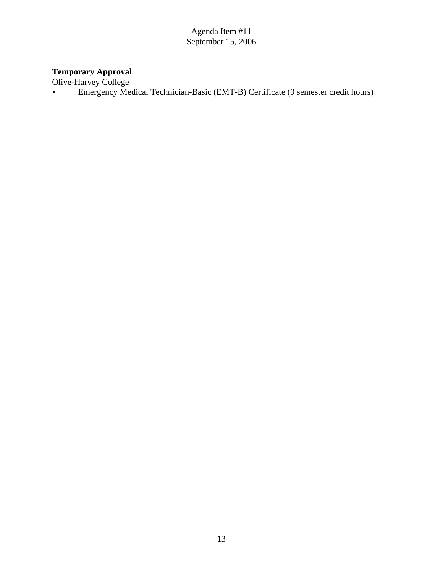#### **Temporary Approval**

Olive-Harvey College

Emergency Medical Technician-Basic (EMT-B) Certificate (9 semester credit hours)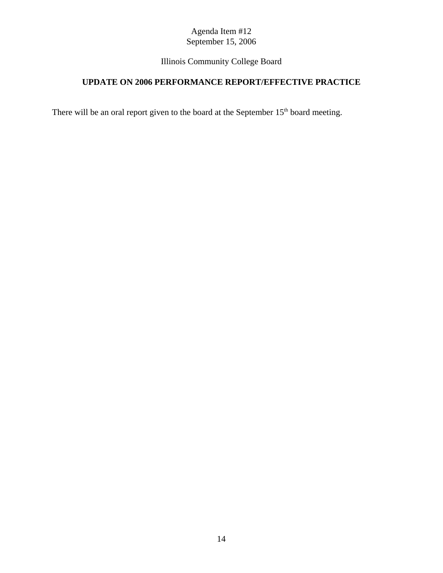# Illinois Community College Board

# **UPDATE ON 2006 PERFORMANCE REPORT/EFFECTIVE PRACTICE**

There will be an oral report given to the board at the September  $15<sup>th</sup>$  board meeting.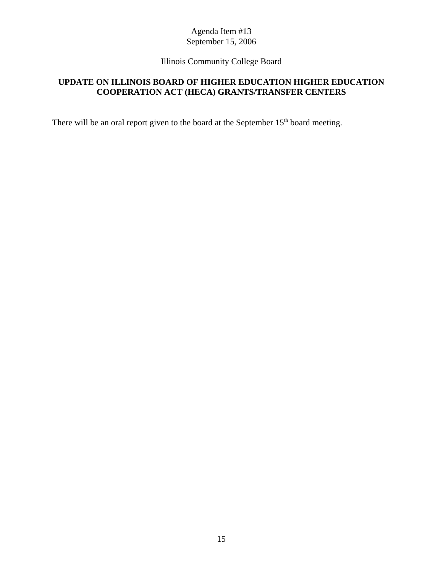## Illinois Community College Board

## **UPDATE ON ILLINOIS BOARD OF HIGHER EDUCATION HIGHER EDUCATION COOPERATION ACT (HECA) GRANTS/TRANSFER CENTERS**

There will be an oral report given to the board at the September 15<sup>th</sup> board meeting.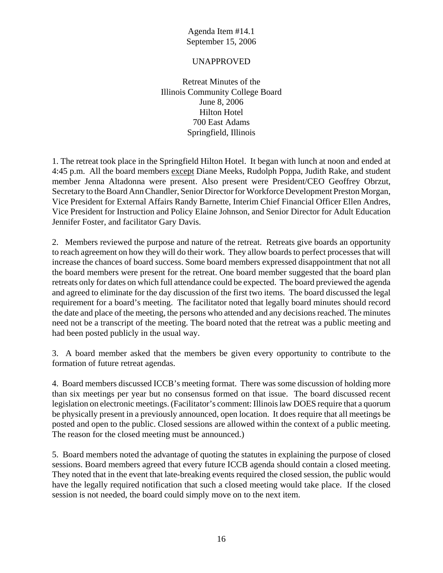#### UNAPPROVED

Retreat Minutes of the Illinois Community College Board June 8, 2006 Hilton Hotel 700 East Adams Springfield, Illinois

1. The retreat took place in the Springfield Hilton Hotel. It began with lunch at noon and ended at 4:45 p.m. All the board members except Diane Meeks, Rudolph Poppa, Judith Rake, and student member Jenna Altadonna were present. Also present were President/CEO Geoffrey Obrzut, Secretary to the Board Ann Chandler, Senior Director for Workforce Development Preston Morgan, Vice President for External Affairs Randy Barnette, Interim Chief Financial Officer Ellen Andres, Vice President for Instruction and Policy Elaine Johnson, and Senior Director for Adult Education Jennifer Foster, and facilitator Gary Davis.

2. Members reviewed the purpose and nature of the retreat. Retreats give boards an opportunity to reach agreement on how they will do their work. They allow boards to perfect processes that will increase the chances of board success. Some board members expressed disappointment that not all the board members were present for the retreat. One board member suggested that the board plan retreats only for dates on which full attendance could be expected. The board previewed the agenda and agreed to eliminate for the day discussion of the first two items. The board discussed the legal requirement for a board's meeting. The facilitator noted that legally board minutes should record the date and place of the meeting, the persons who attended and any decisions reached. The minutes need not be a transcript of the meeting. The board noted that the retreat was a public meeting and had been posted publicly in the usual way.

3. A board member asked that the members be given every opportunity to contribute to the formation of future retreat agendas.

4. Board members discussed ICCB's meeting format. There was some discussion of holding more than six meetings per year but no consensus formed on that issue. The board discussed recent legislation on electronic meetings. (Facilitator's comment: Illinois law DOES require that a quorum be physically present in a previously announced, open location. It does require that all meetings be posted and open to the public. Closed sessions are allowed within the context of a public meeting. The reason for the closed meeting must be announced.)

5. Board members noted the advantage of quoting the statutes in explaining the purpose of closed sessions. Board members agreed that every future ICCB agenda should contain a closed meeting. They noted that in the event that late-breaking events required the closed session, the public would have the legally required notification that such a closed meeting would take place. If the closed session is not needed, the board could simply move on to the next item.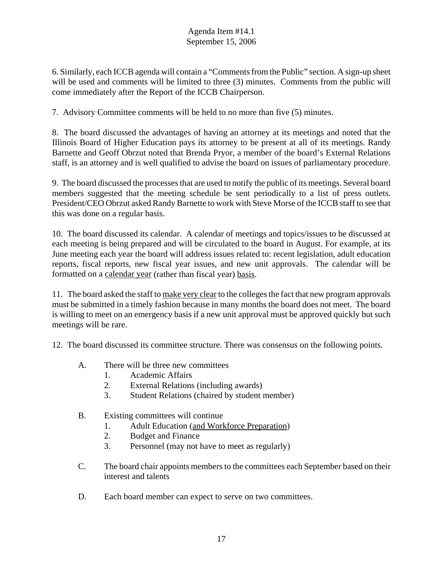6. Similarly, each ICCB agenda will contain a "Comments from the Public" section. A sign-up sheet will be used and comments will be limited to three (3) minutes. Comments from the public will come immediately after the Report of the ICCB Chairperson.

7. Advisory Committee comments will be held to no more than five (5) minutes.

8. The board discussed the advantages of having an attorney at its meetings and noted that the Illinois Board of Higher Education pays its attorney to be present at all of its meetings. Randy Barnette and Geoff Obrzut noted that Brenda Pryor, a member of the board's External Relations staff, is an attorney and is well qualified to advise the board on issues of parliamentary procedure.

9. The board discussed the processes that are used to notify the public of its meetings. Several board members suggested that the meeting schedule be sent periodically to a list of press outlets. President/CEO Obrzut asked Randy Barnette to work with Steve Morse of the ICCB staff to see that this was done on a regular basis.

10. The board discussed its calendar. A calendar of meetings and topics/issues to be discussed at each meeting is being prepared and will be circulated to the board in August. For example, at its June meeting each year the board will address issues related to: recent legislation, adult education reports, fiscal reports, new fiscal year issues, and new unit approvals. The calendar will be formatted on a calendar year (rather than fiscal year) basis.

11. The board asked the staff to make very clear to the colleges the fact that new program approvals must be submitted in a timely fashion because in many months the board does not meet. The board is willing to meet on an emergency basis if a new unit approval must be approved quickly but such meetings will be rare.

12. The board discussed its committee structure. There was consensus on the following points.

- A. There will be three new committees
	- 1. Academic Affairs
	- 2. External Relations (including awards)
	- 3. Student Relations (chaired by student member)
- B. Existing committees will continue
	- 1. Adult Education (and Workforce Preparation)
	- 2. Budget and Finance
	- 3. Personnel (may not have to meet as regularly)
- C. The board chair appoints members to the committees each September based on their interest and talents
- D. Each board member can expect to serve on two committees.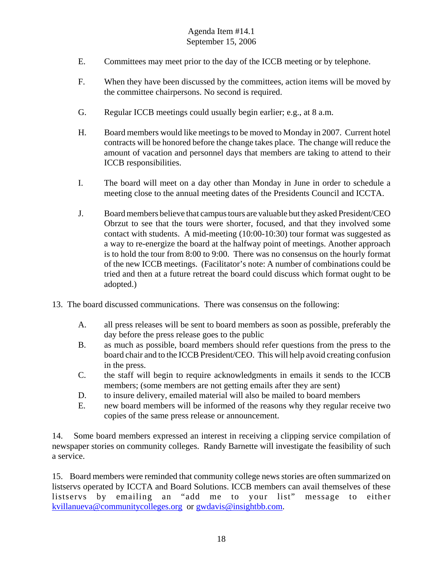- E. Committees may meet prior to the day of the ICCB meeting or by telephone.
- F. When they have been discussed by the committees, action items will be moved by the committee chairpersons. No second is required.
- G. Regular ICCB meetings could usually begin earlier; e.g., at 8 a.m.
- H. Board members would like meetings to be moved to Monday in 2007. Current hotel contracts will be honored before the change takes place. The change will reduce the amount of vacation and personnel days that members are taking to attend to their ICCB responsibilities.
- I. The board will meet on a day other than Monday in June in order to schedule a meeting close to the annual meeting dates of the Presidents Council and ICCTA.
- J. Board members believe that campus tours are valuable but they asked President/CEO Obrzut to see that the tours were shorter, focused, and that they involved some contact with students. A mid-meeting (10:00-10:30) tour format was suggested as a way to re-energize the board at the halfway point of meetings. Another approach is to hold the tour from 8:00 to 9:00. There was no consensus on the hourly format of the new ICCB meetings. (Facilitator's note: A number of combinations could be tried and then at a future retreat the board could discuss which format ought to be adopted.)
- 13. The board discussed communications. There was consensus on the following:
	- A. all press releases will be sent to board members as soon as possible, preferably the day before the press release goes to the public
	- B. as much as possible, board members should refer questions from the press to the board chair and to the ICCB President/CEO. This will help avoid creating confusion in the press.
	- C. the staff will begin to require acknowledgments in emails it sends to the ICCB members; (some members are not getting emails after they are sent)
	- D. to insure delivery, emailed material will also be mailed to board members
	- E. new board members will be informed of the reasons why they regular receive two copies of the same press release or announcement.

14. Some board members expressed an interest in receiving a clipping service compilation of newspaper stories on community colleges. Randy Barnette will investigate the feasibility of such a service.

15. Board members were reminded that community college news stories are often summarized on listservs operated by ICCTA and Board Solutions. ICCB members can avail themselves of these listservs by emailing an "add me to your list" message to either kvillanueva@communitycolleges.org or gwdavis@insightbb.com.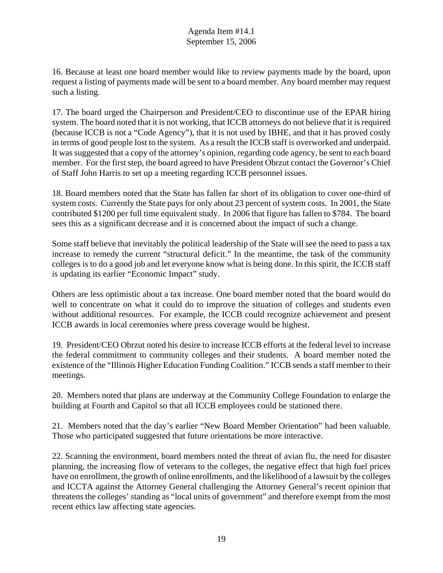16. Because at least one board member would like to review payments made by the board, upon request a listing of payments made will be sent to a board member. Any board member may request such a listing.

17. The board urged the Chairperson and President/CEO to discontinue use of the EPAR hiring system. The board noted that it is not working, that ICCB attorneys do not believe that it is required (because ICCB is not a "Code Agency"), that it is not used by IBHE, and that it has proved costly in terms of good people lost to the system. As a result the ICCB staff is overworked and underpaid. It was suggested that a copy of the attorney's opinion, regarding code agency, be sent to each board member. For the first step, the board agreed to have President Obrzut contact the Governor's Chief of Staff John Harris to set up a meeting regarding ICCB personnel issues.

18. Board members noted that the State has fallen far short of its obligation to cover one-third of system costs. Currently the State pays for only about 23 percent of system costs. In 2001, the State contributed \$1200 per full time equivalent study. In 2006 that figure has fallen to \$784. The board sees this as a significant decrease and it is concerned about the impact of such a change.

Some staff believe that inevitably the political leadership of the State will see the need to pass a tax increase to remedy the current "structural deficit." In the meantime, the task of the community colleges is to do a good job and let everyone know what is being done. In this spirit, the ICCB staff is updating its earlier "Economic Impact" study.

Others are less optimistic about a tax increase. One board member noted that the board would do well to concentrate on what it could do to improve the situation of colleges and students even without additional resources. For example, the ICCB could recognize achievement and present ICCB awards in local ceremonies where press coverage would be highest.

19. President/CEO Obrzut noted his desire to increase ICCB efforts at the federal level to increase the federal commitment to community colleges and their students. A board member noted the existence of the "Illinois Higher Education Funding Coalition." ICCB sends a staff member to their meetings.

20. Members noted that plans are underway at the Community College Foundation to enlarge the building at Fourth and Capitol so that all ICCB employees could be stationed there.

21. Members noted that the day's earlier "New Board Member Orientation" had been valuable. Those who participated suggested that future orientations be more interactive.

22. Scanning the environment, board members noted the threat of avian flu, the need for disaster planning, the increasing flow of veterans to the colleges, the negative effect that high fuel prices have on enrollment, the growth of online enrollments, and the likelihood of a lawsuit by the colleges and ICCTA against the Attorney General challenging the Attorney General's recent opinion that threatens the colleges' standing as "local units of government" and therefore exempt from the most recent ethics law affecting state agencies.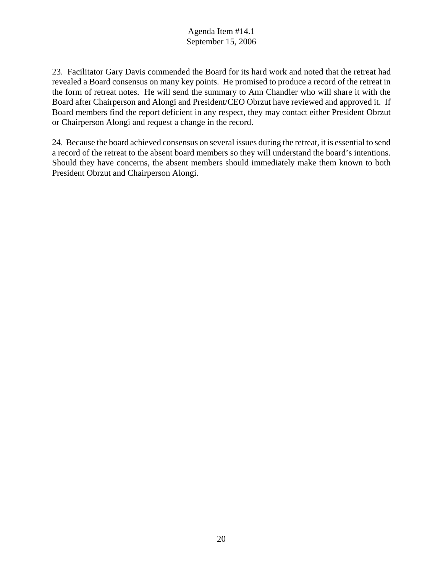23. Facilitator Gary Davis commended the Board for its hard work and noted that the retreat had revealed a Board consensus on many key points. He promised to produce a record of the retreat in the form of retreat notes. He will send the summary to Ann Chandler who will share it with the Board after Chairperson and Alongi and President/CEO Obrzut have reviewed and approved it. If Board members find the report deficient in any respect, they may contact either President Obrzut or Chairperson Alongi and request a change in the record.

24. Because the board achieved consensus on several issues during the retreat, it is essential to send a record of the retreat to the absent board members so they will understand the board's intentions. Should they have concerns, the absent members should immediately make them known to both President Obrzut and Chairperson Alongi.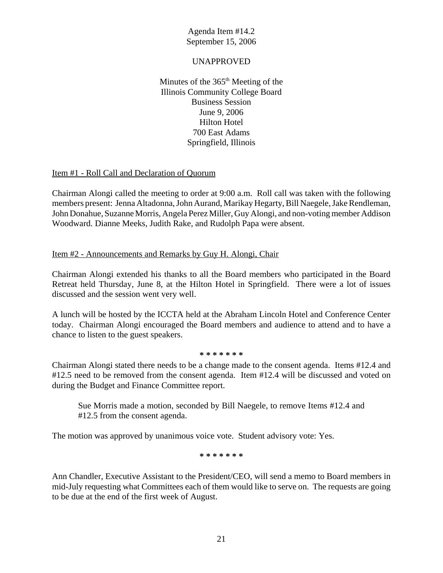#### UNAPPROVED

Minutes of the  $365<sup>th</sup>$  Meeting of the Illinois Community College Board Business Session June 9, 2006 Hilton Hotel 700 East Adams Springfield, Illinois

#### Item #1 - Roll Call and Declaration of Quorum

Chairman Alongi called the meeting to order at 9:00 a.m. Roll call was taken with the following members present: Jenna Altadonna, John Aurand, Marikay Hegarty, Bill Naegele, Jake Rendleman, John Donahue, Suzanne Morris, Angela Perez Miller, Guy Alongi, and non-voting member Addison Woodward. Dianne Meeks, Judith Rake, and Rudolph Papa were absent.

#### Item #2 - Announcements and Remarks by Guy H. Alongi, Chair

Chairman Alongi extended his thanks to all the Board members who participated in the Board Retreat held Thursday, June 8, at the Hilton Hotel in Springfield. There were a lot of issues discussed and the session went very well.

A lunch will be hosted by the ICCTA held at the Abraham Lincoln Hotel and Conference Center today. Chairman Alongi encouraged the Board members and audience to attend and to have a chance to listen to the guest speakers.

#### **\* \* \* \* \* \* \***

Chairman Alongi stated there needs to be a change made to the consent agenda. Items #12.4 and #12.5 need to be removed from the consent agenda. Item #12.4 will be discussed and voted on during the Budget and Finance Committee report.

Sue Morris made a motion, seconded by Bill Naegele, to remove Items #12.4 and #12.5 from the consent agenda.

The motion was approved by unanimous voice vote. Student advisory vote: Yes.

**\* \* \* \* \* \* \***

Ann Chandler, Executive Assistant to the President/CEO, will send a memo to Board members in mid-July requesting what Committees each of them would like to serve on. The requests are going to be due at the end of the first week of August.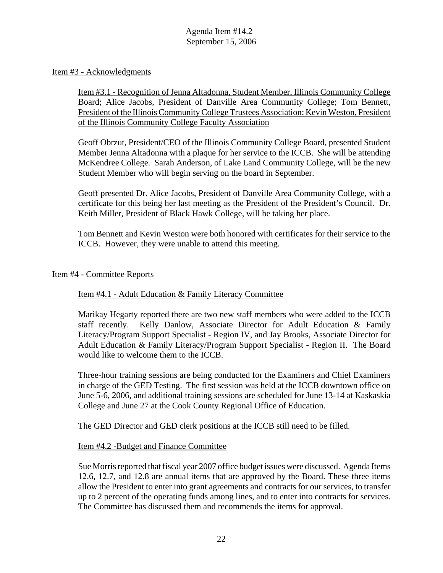#### Item #3 - Acknowledgments

Item #3.1 - Recognition of Jenna Altadonna, Student Member, Illinois Community College Board; Alice Jacobs, President of Danville Area Community College; Tom Bennett, President of the Illinois Community College Trustees Association; Kevin Weston, President of the Illinois Community College Faculty Association

Geoff Obrzut, President/CEO of the Illinois Community College Board, presented Student Member Jenna Altadonna with a plaque for her service to the ICCB. She will be attending McKendree College. Sarah Anderson, of Lake Land Community College, will be the new Student Member who will begin serving on the board in September.

Geoff presented Dr. Alice Jacobs, President of Danville Area Community College, with a certificate for this being her last meeting as the President of the President's Council. Dr. Keith Miller, President of Black Hawk College, will be taking her place.

Tom Bennett and Kevin Weston were both honored with certificates for their service to the ICCB. However, they were unable to attend this meeting.

#### Item #4 - Committee Reports

#### Item #4.1 - Adult Education & Family Literacy Committee

Marikay Hegarty reported there are two new staff members who were added to the ICCB staff recently. Kelly Danlow, Associate Director for Adult Education & Family Literacy/Program Support Specialist - Region IV, and Jay Brooks, Associate Director for Adult Education & Family Literacy/Program Support Specialist - Region II. The Board would like to welcome them to the ICCB.

Three-hour training sessions are being conducted for the Examiners and Chief Examiners in charge of the GED Testing. The first session was held at the ICCB downtown office on June 5-6, 2006, and additional training sessions are scheduled for June 13-14 at Kaskaskia College and June 27 at the Cook County Regional Office of Education.

The GED Director and GED clerk positions at the ICCB still need to be filled.

#### Item #4.2 -Budget and Finance Committee

Sue Morris reported that fiscal year 2007 office budget issues were discussed. Agenda Items 12.6, 12.7, and 12.8 are annual items that are approved by the Board. These three items allow the President to enter into grant agreements and contracts for our services, to transfer up to 2 percent of the operating funds among lines, and to enter into contracts for services. The Committee has discussed them and recommends the items for approval.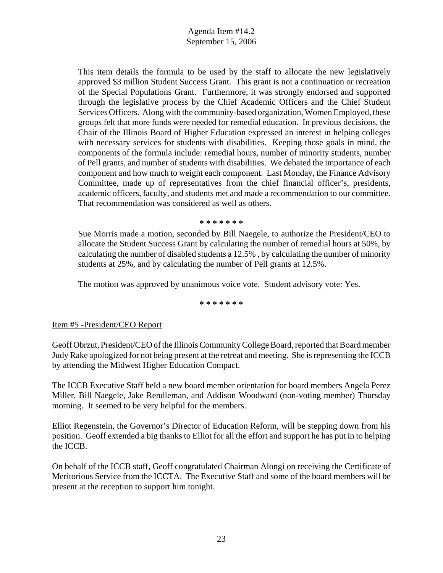This item details the formula to be used by the staff to allocate the new legislatively approved \$3 million Student Success Grant. This grant is not a continuation or recreation of the Special Populations Grant. Furthermore, it was strongly endorsed and supported through the legislative process by the Chief Academic Officers and the Chief Student Services Officers. Along with the community-based organization, Women Employed, these groups felt that more funds were needed for remedial education. In previous decisions, the Chair of the Illinois Board of Higher Education expressed an interest in helping colleges with necessary services for students with disabilities. Keeping those goals in mind, the components of the formula include: remedial hours, number of minority students, number of Pell grants, and number of students with disabilities. We debated the importance of each component and how much to weight each component. Last Monday, the Finance Advisory Committee, made up of representatives from the chief financial officer's, presidents, academic officers, faculty, and students met and made a recommendation to our committee. That recommendation was considered as well as others.

**\* \* \* \* \* \* \***

Sue Morris made a motion, seconded by Bill Naegele, to authorize the President/CEO to allocate the Student Success Grant by calculating the number of remedial hours at 50%, by calculating the number of disabled students a 12.5% , by calculating the number of minority students at 25%, and by calculating the number of Pell grants at 12.5%.

The motion was approved by unanimous voice vote. Student advisory vote: Yes.

**\* \* \* \* \* \* \***

#### Item #5 -President/CEO Report

Geoff Obrzut, President/CEO of the Illinois Community College Board, reported that Board member Judy Rake apologized for not being present at the retreat and meeting. She is representing the ICCB by attending the Midwest Higher Education Compact.

The ICCB Executive Staff held a new board member orientation for board members Angela Perez Miller, Bill Naegele, Jake Rendleman, and Addison Woodward (non-voting member) Thursday morning. It seemed to be very helpful for the members.

Elliot Regenstein, the Governor's Director of Education Reform, will be stepping down from his position. Geoff extended a big thanks to Elliot for all the effort and support he has put in to helping the ICCB.

On behalf of the ICCB staff, Geoff congratulated Chairman Alongi on receiving the Certificate of Meritorious Service from the ICCTA. The Executive Staff and some of the board members will be present at the reception to support him tonight.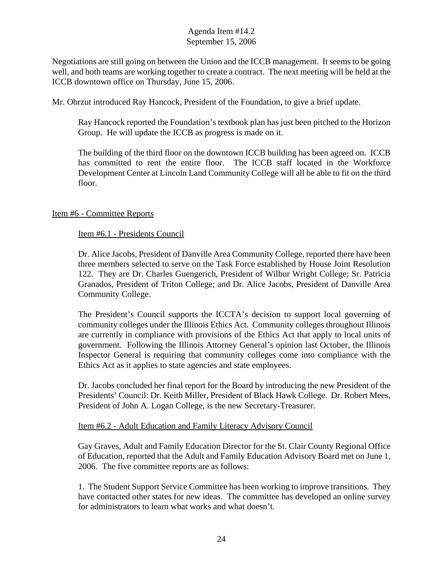Negotiations are still going on between the Union and the ICCB management. It seems to be going well, and both teams are working together to create a contract. The next meeting will be held at the ICCB downtown office on Thursday, June 15, 2006.

Mr. Obrzut introduced Ray Hancock, President of the Foundation, to give a brief update.

Ray Hancock reported the Foundation's textbook plan has just been pitched to the Horizon Group. He will update the ICCB as progress is made on it.

The building of the third floor on the downtown ICCB building has been agreed on. ICCB has committed to rent the entire floor. The ICCB staff located in the Workforce Development Center at Lincoln Land Community College will all be able to fit on the third floor.

## Item #6 - Committee Reports

#### Item #6.1 - Presidents Council

Dr. Alice Jacobs, President of Danville Area Community College, reported there have been three members selected to serve on the Task Force established by House Joint Resolution 122. They are Dr. Charles Guengerich, President of Wilbur Wright College; Sr. Patricia Granados, President of Triton College; and Dr. Alice Jacobs, President of Danville Area Community College.

The President's Council supports the ICCTA's decision to support local governing of community colleges under the Illinois Ethics Act. Community colleges throughout Illinois are currently in compliance with provisions of the Ethics Act that apply to local units of government. Following the Illinois Attorney General's opinion last October, the Illinois Inspector General is requiring that community colleges come into compliance with the Ethics Act as it applies to state agencies and state employees.

Dr. Jacobs concluded her final report for the Board by introducing the new President of the Presidents' Council: Dr. Keith Miller, President of Black Hawk College. Dr. Robert Mees, President of John A. Logan College, is the new Secretary-Treasurer.

#### Item #6.2 - Adult Education and Family Literacy Advisory Council

Gay Graves, Adult and Family Education Director for the St. Clair County Regional Office of Education, reported that the Adult and Family Education Advisory Board met on June 1, 2006. The five committee reports are as follows:

1. The Student Support Service Committee has been working to improve transitions. They have contacted other states for new ideas. The committee has developed an online survey for administrators to learn what works and what doesn't.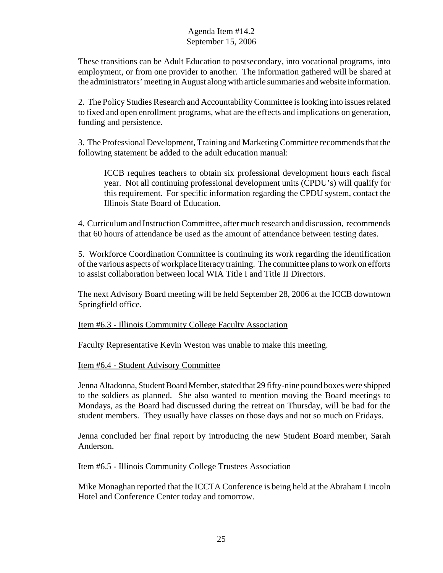These transitions can be Adult Education to postsecondary, into vocational programs, into employment, or from one provider to another. The information gathered will be shared at the administrators' meeting in August along with article summaries and website information.

2. The Policy Studies Research and Accountability Committee is looking into issues related to fixed and open enrollment programs, what are the effects and implications on generation, funding and persistence.

3. The Professional Development, Training and Marketing Committee recommends that the following statement be added to the adult education manual:

ICCB requires teachers to obtain six professional development hours each fiscal year. Not all continuing professional development units (CPDU's) will qualify for this requirement. For specific information regarding the CPDU system, contact the Illinois State Board of Education.

4. Curriculum and Instruction Committee, after much research and discussion, recommends that 60 hours of attendance be used as the amount of attendance between testing dates.

5. Workforce Coordination Committee is continuing its work regarding the identification of the various aspects of workplace literacy training. The committee plans to work on efforts to assist collaboration between local WIA Title I and Title II Directors.

The next Advisory Board meeting will be held September 28, 2006 at the ICCB downtown Springfield office.

Item #6.3 - Illinois Community College Faculty Association

Faculty Representative Kevin Weston was unable to make this meeting.

Item #6.4 - Student Advisory Committee

Jenna Altadonna, Student Board Member, stated that 29 fifty-nine pound boxes were shipped to the soldiers as planned. She also wanted to mention moving the Board meetings to Mondays, as the Board had discussed during the retreat on Thursday, will be bad for the student members. They usually have classes on those days and not so much on Fridays.

Jenna concluded her final report by introducing the new Student Board member, Sarah Anderson.

Item #6.5 - Illinois Community College Trustees Association

Mike Monaghan reported that the ICCTA Conference is being held at the Abraham Lincoln Hotel and Conference Center today and tomorrow.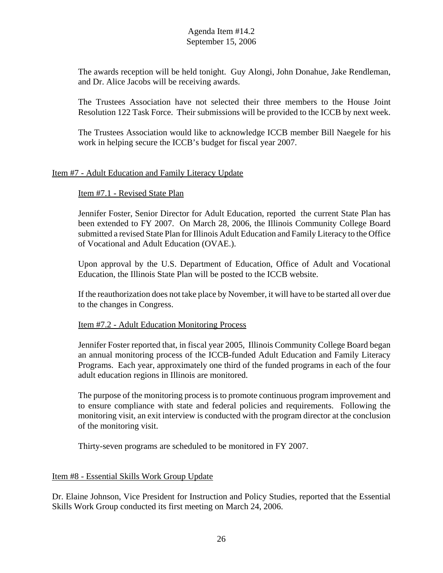The awards reception will be held tonight. Guy Alongi, John Donahue, Jake Rendleman, and Dr. Alice Jacobs will be receiving awards.

The Trustees Association have not selected their three members to the House Joint Resolution 122 Task Force. Their submissions will be provided to the ICCB by next week.

The Trustees Association would like to acknowledge ICCB member Bill Naegele for his work in helping secure the ICCB's budget for fiscal year 2007.

#### Item #7 - Adult Education and Family Literacy Update

#### Item #7.1 - Revised State Plan

Jennifer Foster, Senior Director for Adult Education, reported the current State Plan has been extended to FY 2007. On March 28, 2006, the Illinois Community College Board submitted a revised State Plan for Illinois Adult Education and Family Literacy to the Office of Vocational and Adult Education (OVAE.).

Upon approval by the U.S. Department of Education, Office of Adult and Vocational Education, the Illinois State Plan will be posted to the ICCB website.

If the reauthorization does not take place by November, it will have to be started all over due to the changes in Congress.

#### Item #7.2 - Adult Education Monitoring Process

Jennifer Foster reported that, in fiscal year 2005, Illinois Community College Board began an annual monitoring process of the ICCB-funded Adult Education and Family Literacy Programs. Each year, approximately one third of the funded programs in each of the four adult education regions in Illinois are monitored.

The purpose of the monitoring process is to promote continuous program improvement and to ensure compliance with state and federal policies and requirements. Following the monitoring visit, an exit interview is conducted with the program director at the conclusion of the monitoring visit.

Thirty-seven programs are scheduled to be monitored in FY 2007.

#### Item #8 - Essential Skills Work Group Update

Dr. Elaine Johnson, Vice President for Instruction and Policy Studies, reported that the Essential Skills Work Group conducted its first meeting on March 24, 2006.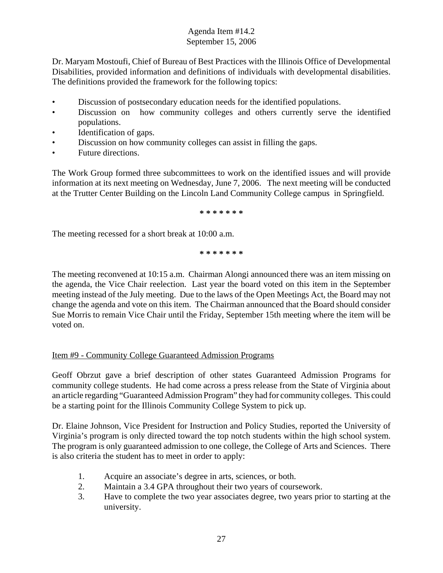Dr. Maryam Mostoufi, Chief of Bureau of Best Practices with the Illinois Office of Developmental Disabilities, provided information and definitions of individuals with developmental disabilities. The definitions provided the framework for the following topics:

- Discussion of postsecondary education needs for the identified populations.
- Discussion on how community colleges and others currently serve the identified populations.
- Identification of gaps.
- Discussion on how community colleges can assist in filling the gaps.
- Future directions.

The Work Group formed three subcommittees to work on the identified issues and will provide information at its next meeting on Wednesday, June 7, 2006. The next meeting will be conducted at the Trutter Center Building on the Lincoln Land Community College campus in Springfield.

**\* \* \* \* \* \* \***

The meeting recessed for a short break at 10:00 a.m.

**\* \* \* \* \* \* \***

The meeting reconvened at 10:15 a.m. Chairman Alongi announced there was an item missing on the agenda, the Vice Chair reelection. Last year the board voted on this item in the September meeting instead of the July meeting. Due to the laws of the Open Meetings Act, the Board may not change the agenda and vote on this item. The Chairman announced that the Board should consider Sue Morris to remain Vice Chair until the Friday, September 15th meeting where the item will be voted on.

## Item #9 - Community College Guaranteed Admission Programs

Geoff Obrzut gave a brief description of other states Guaranteed Admission Programs for community college students. He had come across a press release from the State of Virginia about an article regarding "Guaranteed Admission Program" they had for community colleges. This could be a starting point for the Illinois Community College System to pick up.

Dr. Elaine Johnson, Vice President for Instruction and Policy Studies, reported the University of Virginia's program is only directed toward the top notch students within the high school system. The program is only guaranteed admission to one college, the College of Arts and Sciences. There is also criteria the student has to meet in order to apply:

- 1. Acquire an associate's degree in arts, sciences, or both.
- 2. Maintain a 3.4 GPA throughout their two years of coursework.
- 3. Have to complete the two year associates degree, two years prior to starting at the university.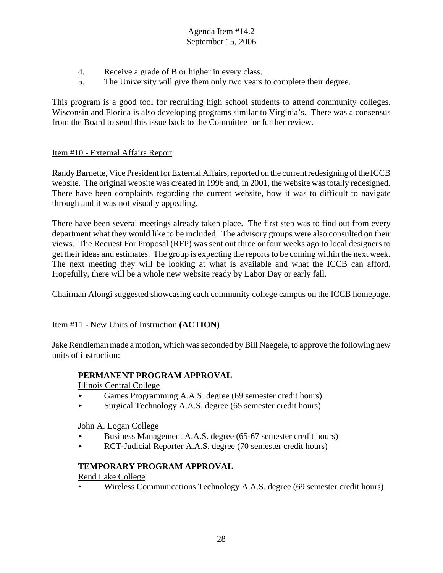- 4. Receive a grade of B or higher in every class.
- 5. The University will give them only two years to complete their degree.

This program is a good tool for recruiting high school students to attend community colleges. Wisconsin and Florida is also developing programs similar to Virginia's. There was a consensus from the Board to send this issue back to the Committee for further review.

## Item #10 - External Affairs Report

Randy Barnette, Vice President for External Affairs, reported on the current redesigning of the ICCB website. The original website was created in 1996 and, in 2001, the website was totally redesigned. There have been complaints regarding the current website, how it was to difficult to navigate through and it was not visually appealing.

There have been several meetings already taken place. The first step was to find out from every department what they would like to be included. The advisory groups were also consulted on their views. The Request For Proposal (RFP) was sent out three or four weeks ago to local designers to get their ideas and estimates. The group is expecting the reports to be coming within the next week. The next meeting they will be looking at what is available and what the ICCB can afford. Hopefully, there will be a whole new website ready by Labor Day or early fall.

Chairman Alongi suggested showcasing each community college campus on the ICCB homepage.

#### Item #11 - New Units of Instruction **(ACTION)**

Jake Rendleman made a motion, which was seconded by Bill Naegele, to approve the following new units of instruction:

#### **PERMANENT PROGRAM APPROVAL**

Illinois Central College

- < Games Programming A.A.S. degree (69 semester credit hours)
- < Surgical Technology A.A.S. degree (65 semester credit hours)

John A. Logan College

- < Business Management A.A.S. degree (65-67 semester credit hours)
- < RCT-Judicial Reporter A.A.S. degree (70 semester credit hours)

## **TEMPORARY PROGRAM APPROVAL**

Rend Lake College

• Wireless Communications Technology A.A.S. degree (69 semester credit hours)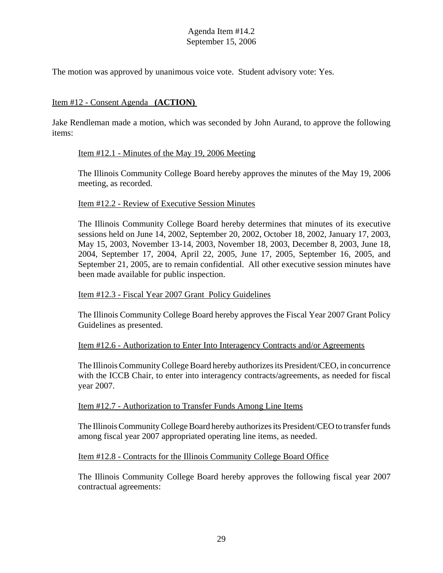The motion was approved by unanimous voice vote. Student advisory vote: Yes.

#### Item #12 - Consent Agenda **(ACTION)**

Jake Rendleman made a motion, which was seconded by John Aurand, to approve the following items:

#### Item #12.1 - Minutes of the May 19, 2006 Meeting

The Illinois Community College Board hereby approves the minutes of the May 19, 2006 meeting, as recorded.

#### Item #12.2 - Review of Executive Session Minutes

The Illinois Community College Board hereby determines that minutes of its executive sessions held on June 14, 2002, September 20, 2002, October 18, 2002, January 17, 2003, May 15, 2003, November 13-14, 2003, November 18, 2003, December 8, 2003, June 18, 2004, September 17, 2004, April 22, 2005, June 17, 2005, September 16, 2005, and September 21, 2005, are to remain confidential. All other executive session minutes have been made available for public inspection.

#### Item #12.3 - Fiscal Year 2007 Grant Policy Guidelines

The Illinois Community College Board hereby approves the Fiscal Year 2007 Grant Policy Guidelines as presented.

#### Item #12.6 - Authorization to Enter Into Interagency Contracts and/or Agreements

The Illinois Community College Board hereby authorizes its President/CEO, in concurrence with the ICCB Chair, to enter into interagency contracts/agreements, as needed for fiscal year 2007.

#### Item #12.7 - Authorization to Transfer Funds Among Line Items

The Illinois Community College Board hereby authorizes its President/CEO to transfer funds among fiscal year 2007 appropriated operating line items, as needed.

## Item #12.8 - Contracts for the Illinois Community College Board Office

The Illinois Community College Board hereby approves the following fiscal year 2007 contractual agreements: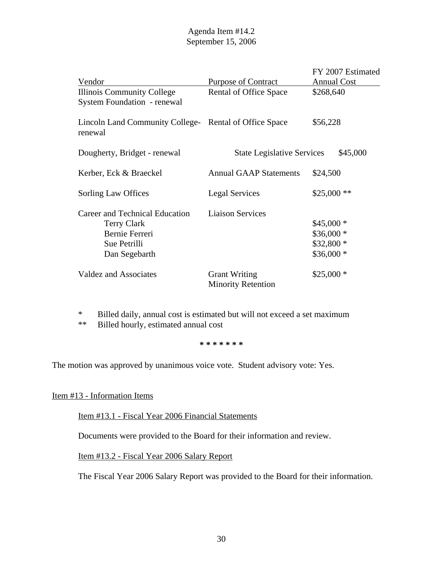| Vendor                                                                                                  | <b>Purpose of Contract</b>                        | FY 2007 Estimated<br><b>Annual Cost</b>              |
|---------------------------------------------------------------------------------------------------------|---------------------------------------------------|------------------------------------------------------|
| <b>Illinois Community College</b><br><b>System Foundation - renewal</b>                                 | Rental of Office Space                            | \$268,640                                            |
| Lincoln Land Community College- Rental of Office Space<br>renewal                                       |                                                   | \$56,228                                             |
| Dougherty, Bridget - renewal                                                                            | <b>State Legislative Services</b>                 | \$45,000                                             |
| Kerber, Eck & Braeckel                                                                                  | <b>Annual GAAP Statements</b>                     | \$24,500                                             |
| Sorling Law Offices                                                                                     | <b>Legal Services</b>                             | $$25,000**$                                          |
| Career and Technical Education<br><b>Terry Clark</b><br>Bernie Ferreri<br>Sue Petrilli<br>Dan Segebarth | <b>Liaison Services</b>                           | $$45,000*$<br>$$36,000*$<br>\$32,800 *<br>$$36,000*$ |
| <b>Valdez and Associates</b>                                                                            | <b>Grant Writing</b><br><b>Minority Retention</b> | $$25,000*$                                           |

\* Billed daily, annual cost is estimated but will not exceed a set maximum

\*\* Billed hourly, estimated annual cost

**\* \* \* \* \* \* \***

The motion was approved by unanimous voice vote. Student advisory vote: Yes.

## Item #13 - Information Items

Item #13.1 - Fiscal Year 2006 Financial Statements

Documents were provided to the Board for their information and review.

Item #13.2 - Fiscal Year 2006 Salary Report

The Fiscal Year 2006 Salary Report was provided to the Board for their information.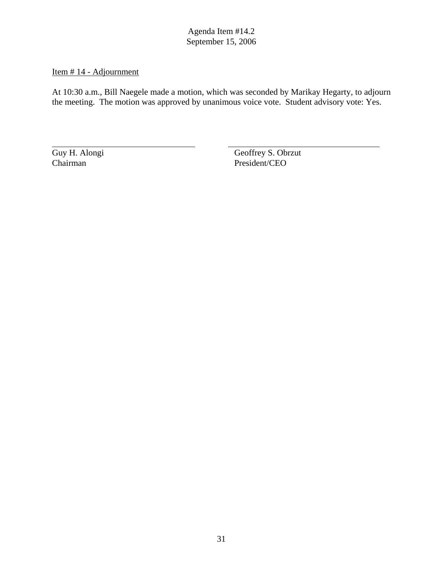## Item # 14 - Adjournment

At 10:30 a.m., Bill Naegele made a motion, which was seconded by Marikay Hegarty, to adjourn the meeting. The motion was approved by unanimous voice vote. Student advisory vote: Yes.

Guy H. Alongi Geoffrey S. Obrzut<br>
Chairman President/CEO President/CEO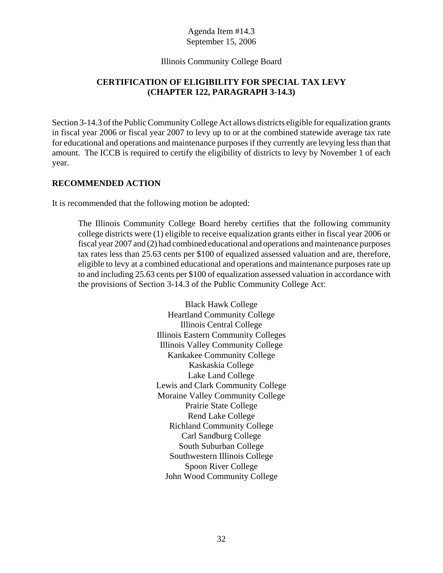#### Illinois Community College Board

## **CERTIFICATION OF ELIGIBILITY FOR SPECIAL TAX LEVY (CHAPTER 122, PARAGRAPH 3-14.3)**

Section 3-14.3 of the Public Community College Act allows districts eligible for equalization grants in fiscal year 2006 or fiscal year 2007 to levy up to or at the combined statewide average tax rate for educational and operations and maintenance purposes if they currently are levying less than that amount. The ICCB is required to certify the eligibility of districts to levy by November 1 of each year.

#### **RECOMMENDED ACTION**

It is recommended that the following motion be adopted:

The Illinois Community College Board hereby certifies that the following community college districts were (1) eligible to receive equalization grants either in fiscal year 2006 or fiscal year 2007 and (2) had combined educational and operations and maintenance purposes tax rates less than 25.63 cents per \$100 of equalized assessed valuation and are, therefore, eligible to levy at a combined educational and operations and maintenance purposes rate up to and including 25.63 cents per \$100 of equalization assessed valuation in accordance with the provisions of Section 3-14.3 of the Public Community College Act:

> Black Hawk College Heartland Community College Illinois Central College Illinois Eastern Community Colleges Illinois Valley Community College Kankakee Community College Kaskaskia College Lake Land College Lewis and Clark Community College Moraine Valley Community College Prairie State College Rend Lake College Richland Community College Carl Sandburg College South Suburban College Southwestern Illinois College Spoon River College John Wood Community College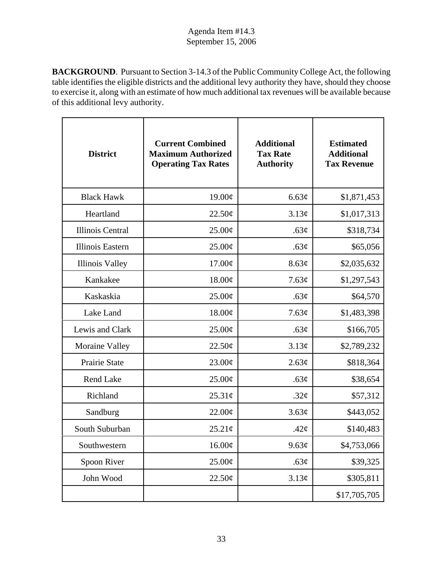**BACKGROUND**. Pursuant to Section 3-14.3 of the Public Community College Act, the following table identifies the eligible districts and the additional levy authority they have, should they choose to exercise it, along with an estimate of how much additional tax revenues will be available because of this additional levy authority.

| <b>District</b>         | <b>Current Combined</b><br><b>Maximum Authorized</b><br><b>Operating Tax Rates</b> | <b>Additional</b><br><b>Tax Rate</b><br><b>Authority</b> | <b>Estimated</b><br><b>Additional</b><br><b>Tax Revenue</b> |
|-------------------------|------------------------------------------------------------------------------------|----------------------------------------------------------|-------------------------------------------------------------|
| <b>Black Hawk</b>       | 19.00¢                                                                             | 6.63¢                                                    | \$1,871,453                                                 |
| Heartland               | 22.50¢                                                                             | 3.13¢                                                    | \$1,017,313                                                 |
| <b>Illinois Central</b> | 25.00¢                                                                             | .63¢                                                     | \$318,734                                                   |
| Illinois Eastern        | $25.00\phi$                                                                        | .63¢                                                     | \$65,056                                                    |
| <b>Illinois Valley</b>  | 17.00¢                                                                             | 8.63¢                                                    | \$2,035,632                                                 |
| Kankakee                | 18.00¢                                                                             | 7.63¢                                                    | \$1,297,543                                                 |
| Kaskaskia               | $25.00\phi$                                                                        | .63¢                                                     | \$64,570                                                    |
| Lake Land               | 18.00¢                                                                             | 7.63¢                                                    | \$1,483,398                                                 |
| Lewis and Clark         | $25.00\phi$                                                                        | .63¢                                                     | \$166,705                                                   |
| <b>Moraine Valley</b>   | 22.50¢                                                                             | 3.13¢                                                    | \$2,789,232                                                 |
| Prairie State           | 23.00¢                                                                             | 2.63¢                                                    | \$818,364                                                   |
| <b>Rend Lake</b>        | 25.00¢                                                                             | .63¢                                                     | \$38,654                                                    |
| Richland                | $25.31\phi$                                                                        | $.32\phi$                                                | \$57,312                                                    |
| Sandburg                | $22.00\text{\textdegree}$                                                          | 3.63¢                                                    | \$443,052                                                   |
| South Suburban          | 25.21¢                                                                             | .42 $\phi$                                               | \$140,483                                                   |
| Southwestern            | 16.00¢                                                                             | 9.63¢                                                    | \$4,753,066                                                 |
| Spoon River             | 25.00¢                                                                             | .63¢                                                     | \$39,325                                                    |
| John Wood               | 22.50¢                                                                             | 3.13¢                                                    | \$305,811                                                   |
|                         |                                                                                    |                                                          | \$17,705,705                                                |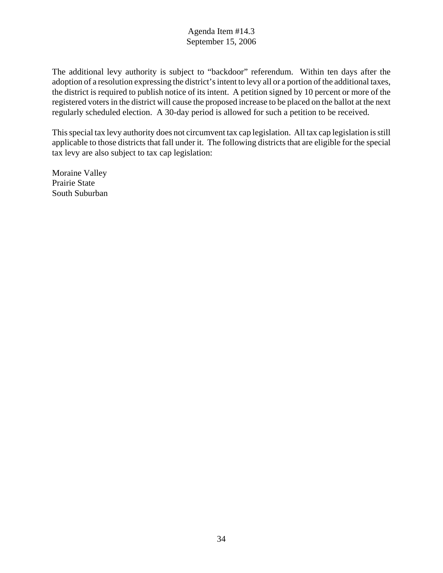The additional levy authority is subject to "backdoor" referendum. Within ten days after the adoption of a resolution expressing the district's intent to levy all or a portion of the additional taxes, the district is required to publish notice of its intent. A petition signed by 10 percent or more of the registered voters in the district will cause the proposed increase to be placed on the ballot at the next regularly scheduled election. A 30-day period is allowed for such a petition to be received.

This special tax levy authority does not circumvent tax cap legislation. All tax cap legislation is still applicable to those districts that fall under it. The following districts that are eligible for the special tax levy are also subject to tax cap legislation:

Moraine Valley Prairie State South Suburban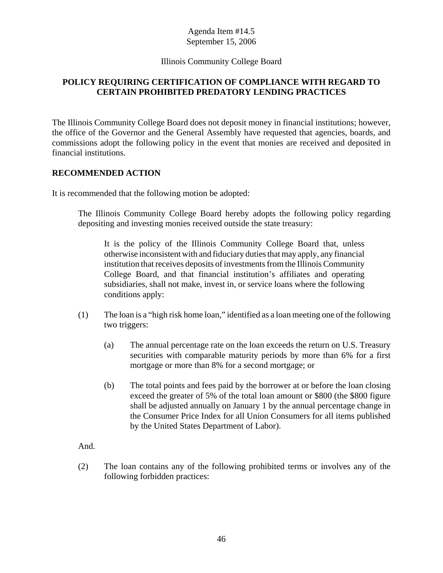#### Illinois Community College Board

## **POLICY REQUIRING CERTIFICATION OF COMPLIANCE WITH REGARD TO CERTAIN PROHIBITED PREDATORY LENDING PRACTICES**

The Illinois Community College Board does not deposit money in financial institutions; however, the office of the Governor and the General Assembly have requested that agencies, boards, and commissions adopt the following policy in the event that monies are received and deposited in financial institutions.

#### **RECOMMENDED ACTION**

It is recommended that the following motion be adopted:

The Illinois Community College Board hereby adopts the following policy regarding depositing and investing monies received outside the state treasury:

It is the policy of the Illinois Community College Board that, unless otherwise inconsistent with and fiduciary duties that may apply, any financial institution that receives deposits of investments from the Illinois Community College Board, and that financial institution's affiliates and operating subsidiaries, shall not make, invest in, or service loans where the following conditions apply:

- (1) The loan is a "high risk home loan," identified as a loan meeting one of the following two triggers:
	- (a) The annual percentage rate on the loan exceeds the return on U.S. Treasury securities with comparable maturity periods by more than 6% for a first mortgage or more than 8% for a second mortgage; or
	- (b) The total points and fees paid by the borrower at or before the loan closing exceed the greater of 5% of the total loan amount or \$800 (the \$800 figure shall be adjusted annually on January 1 by the annual percentage change in the Consumer Price Index for all Union Consumers for all items published by the United States Department of Labor).

And.

(2) The loan contains any of the following prohibited terms or involves any of the following forbidden practices: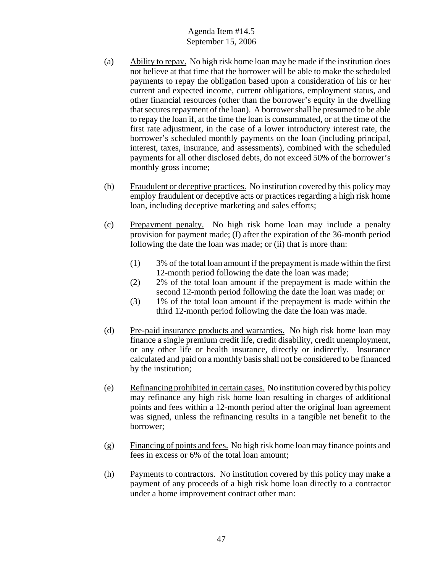- (a) Ability to repay. No high risk home loan may be made if the institution does not believe at that time that the borrower will be able to make the scheduled payments to repay the obligation based upon a consideration of his or her current and expected income, current obligations, employment status, and other financial resources (other than the borrower's equity in the dwelling that secures repayment of the loan). A borrower shall be presumed to be able to repay the loan if, at the time the loan is consummated, or at the time of the first rate adjustment, in the case of a lower introductory interest rate, the borrower's scheduled monthly payments on the loan (including principal, interest, taxes, insurance, and assessments), combined with the scheduled payments for all other disclosed debts, do not exceed 50% of the borrower's monthly gross income;
- (b) Fraudulent or deceptive practices. No institution covered by this policy may employ fraudulent or deceptive acts or practices regarding a high risk home loan, including deceptive marketing and sales efforts;
- (c) Prepayment penalty. No high risk home loan may include a penalty provision for payment made; (I) after the expiration of the 36-month period following the date the loan was made; or (ii) that is more than:
	- (1) 3% of the total loan amount if the prepayment is made within the first 12-month period following the date the loan was made;
	- (2) 2% of the total loan amount if the prepayment is made within the second 12-month period following the date the loan was made; or
	- (3) 1% of the total loan amount if the prepayment is made within the third 12-month period following the date the loan was made.
- (d) Pre-paid insurance products and warranties. No high risk home loan may finance a single premium credit life, credit disability, credit unemployment, or any other life or health insurance, directly or indirectly. Insurance calculated and paid on a monthly basis shall not be considered to be financed by the institution;
- (e) Refinancing prohibited in certain cases. No institution covered by this policy may refinance any high risk home loan resulting in charges of additional points and fees within a 12-month period after the original loan agreement was signed, unless the refinancing results in a tangible net benefit to the borrower;
- (g) Financing of points and fees. No high risk home loan may finance points and fees in excess or 6% of the total loan amount;
- (h) Payments to contractors. No institution covered by this policy may make a payment of any proceeds of a high risk home loan directly to a contractor under a home improvement contract other man: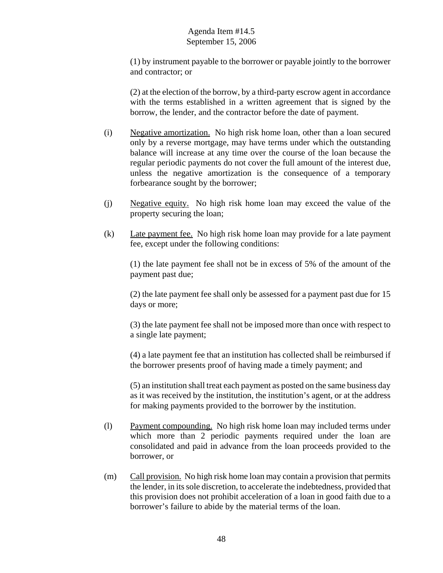(1) by instrument payable to the borrower or payable jointly to the borrower and contractor; or

(2) at the election of the borrow, by a third-party escrow agent in accordance with the terms established in a written agreement that is signed by the borrow, the lender, and the contractor before the date of payment.

- (i) Negative amortization. No high risk home loan, other than a loan secured only by a reverse mortgage, may have terms under which the outstanding balance will increase at any time over the course of the loan because the regular periodic payments do not cover the full amount of the interest due, unless the negative amortization is the consequence of a temporary forbearance sought by the borrower;
- (j) Negative equity. No high risk home loan may exceed the value of the property securing the loan;
- (k) Late payment fee. No high risk home loan may provide for a late payment fee, except under the following conditions:

(1) the late payment fee shall not be in excess of 5% of the amount of the payment past due;

(2) the late payment fee shall only be assessed for a payment past due for 15 days or more;

(3) the late payment fee shall not be imposed more than once with respect to a single late payment;

(4) a late payment fee that an institution has collected shall be reimbursed if the borrower presents proof of having made a timely payment; and

(5) an institution shall treat each payment as posted on the same business day as it was received by the institution, the institution's agent, or at the address for making payments provided to the borrower by the institution.

- (l) Payment compounding. No high risk home loan may included terms under which more than 2 periodic payments required under the loan are consolidated and paid in advance from the loan proceeds provided to the borrower, or
- (m) Call provision. No high risk home loan may contain a provision that permits the lender, in its sole discretion, to accelerate the indebtedness, provided that this provision does not prohibit acceleration of a loan in good faith due to a borrower's failure to abide by the material terms of the loan.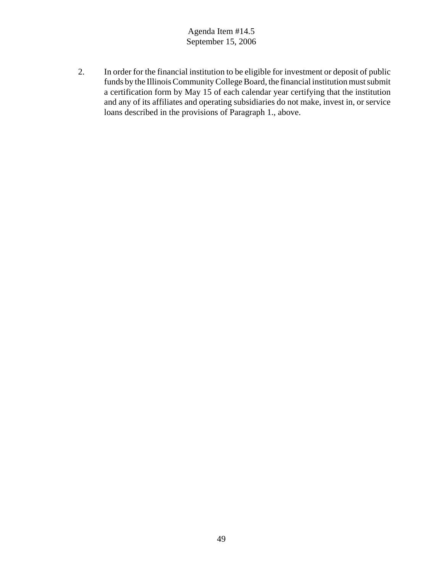2. In order for the financial institution to be eligible for investment or deposit of public funds by the Illinois Community College Board, the financial institution must submit a certification form by May 15 of each calendar year certifying that the institution and any of its affiliates and operating subsidiaries do not make, invest in, or service loans described in the provisions of Paragraph 1., above.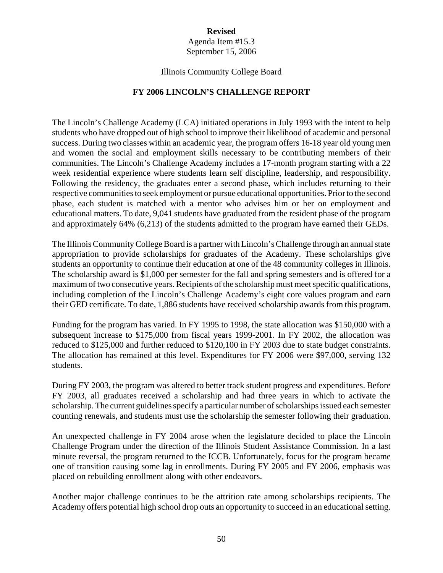## **Revised**

Agenda Item #15.3 September 15, 2006

#### Illinois Community College Board

#### **FY 2006 LINCOLN'S CHALLENGE REPORT**

The Lincoln's Challenge Academy (LCA) initiated operations in July 1993 with the intent to help students who have dropped out of high school to improve their likelihood of academic and personal success. During two classes within an academic year, the program offers 16-18 year old young men and women the social and employment skills necessary to be contributing members of their communities. The Lincoln's Challenge Academy includes a 17-month program starting with a 22 week residential experience where students learn self discipline, leadership, and responsibility. Following the residency, the graduates enter a second phase, which includes returning to their respective communities to seek employment or pursue educational opportunities. Prior to the second phase, each student is matched with a mentor who advises him or her on employment and educational matters. To date, 9,041 students have graduated from the resident phase of the program and approximately 64% (6,213) of the students admitted to the program have earned their GEDs.

The Illinois Community College Board is a partner with Lincoln's Challenge through an annual state appropriation to provide scholarships for graduates of the Academy. These scholarships give students an opportunity to continue their education at one of the 48 community colleges in Illinois. The scholarship award is \$1,000 per semester for the fall and spring semesters and is offered for a maximum of two consecutive years. Recipients of the scholarship must meet specific qualifications, including completion of the Lincoln's Challenge Academy's eight core values program and earn their GED certificate. To date, 1,886 students have received scholarship awards from this program.

Funding for the program has varied. In FY 1995 to 1998, the state allocation was \$150,000 with a subsequent increase to \$175,000 from fiscal years 1999-2001. In FY 2002, the allocation was reduced to \$125,000 and further reduced to \$120,100 in FY 2003 due to state budget constraints. The allocation has remained at this level. Expenditures for FY 2006 were \$97,000, serving 132 students.

During FY 2003, the program was altered to better track student progress and expenditures. Before FY 2003, all graduates received a scholarship and had three years in which to activate the scholarship. The current guidelines specify a particular number of scholarships issued each semester counting renewals, and students must use the scholarship the semester following their graduation.

An unexpected challenge in FY 2004 arose when the legislature decided to place the Lincoln Challenge Program under the direction of the Illinois Student Assistance Commission. In a last minute reversal, the program returned to the ICCB. Unfortunately, focus for the program became one of transition causing some lag in enrollments. During FY 2005 and FY 2006, emphasis was placed on rebuilding enrollment along with other endeavors.

Another major challenge continues to be the attrition rate among scholarships recipients. The Academy offers potential high school drop outs an opportunity to succeed in an educational setting.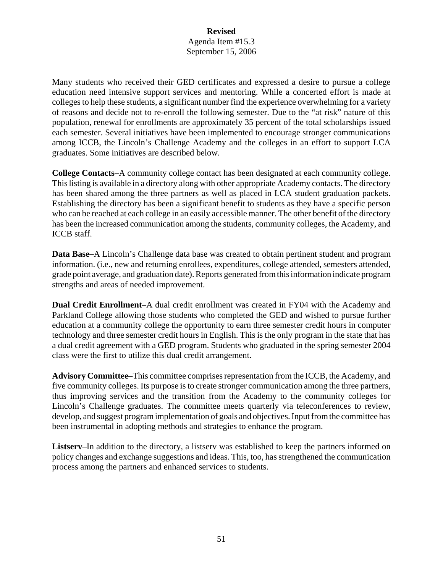#### **Revised** Agenda Item #15.3 September 15, 2006

Many students who received their GED certificates and expressed a desire to pursue a college education need intensive support services and mentoring. While a concerted effort is made at colleges to help these students, a significant number find the experience overwhelming for a variety of reasons and decide not to re-enroll the following semester. Due to the "at risk" nature of this population, renewal for enrollments are approximately 35 percent of the total scholarships issued each semester. Several initiatives have been implemented to encourage stronger communications among ICCB, the Lincoln's Challenge Academy and the colleges in an effort to support LCA graduates. Some initiatives are described below.

**College Contacts**–A community college contact has been designated at each community college. This listing is available in a directory along with other appropriate Academy contacts. The directory has been shared among the three partners as well as placed in LCA student graduation packets. Establishing the directory has been a significant benefit to students as they have a specific person who can be reached at each college in an easily accessible manner. The other benefit of the directory has been the increased communication among the students, community colleges, the Academy, and ICCB staff.

**Data Base–**A Lincoln's Challenge data base was created to obtain pertinent student and program information. (i.e., new and returning enrollees, expenditures, college attended, semesters attended, grade point average, and graduation date). Reports generated from this information indicate program strengths and areas of needed improvement.

**Dual Credit Enrollment**–A dual credit enrollment was created in FY04 with the Academy and Parkland College allowing those students who completed the GED and wished to pursue further education at a community college the opportunity to earn three semester credit hours in computer technology and three semester credit hours in English. This is the only program in the state that has a dual credit agreement with a GED program. Students who graduated in the spring semester 2004 class were the first to utilize this dual credit arrangement.

**Advisory Committee**–This committee comprises representation from the ICCB, the Academy, and five community colleges. Its purpose is to create stronger communication among the three partners, thus improving services and the transition from the Academy to the community colleges for Lincoln's Challenge graduates. The committee meets quarterly via teleconferences to review, develop, and suggest program implementation of goals and objectives. Input from the committee has been instrumental in adopting methods and strategies to enhance the program.

**Listserv**–In addition to the directory, a listserv was established to keep the partners informed on policy changes and exchange suggestions and ideas. This, too, has strengthened the communication process among the partners and enhanced services to students.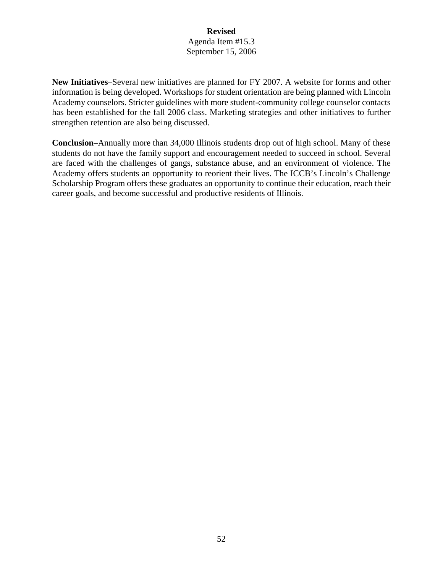#### **Revised** Agenda Item #15.3 September 15, 2006

**New Initiatives**–Several new initiatives are planned for FY 2007. A website for forms and other information is being developed. Workshops for student orientation are being planned with Lincoln Academy counselors. Stricter guidelines with more student-community college counselor contacts has been established for the fall 2006 class. Marketing strategies and other initiatives to further strengthen retention are also being discussed.

**Conclusion**–Annually more than 34,000 Illinois students drop out of high school. Many of these students do not have the family support and encouragement needed to succeed in school. Several are faced with the challenges of gangs, substance abuse, and an environment of violence. The Academy offers students an opportunity to reorient their lives. The ICCB's Lincoln's Challenge Scholarship Program offers these graduates an opportunity to continue their education, reach their career goals, and become successful and productive residents of Illinois.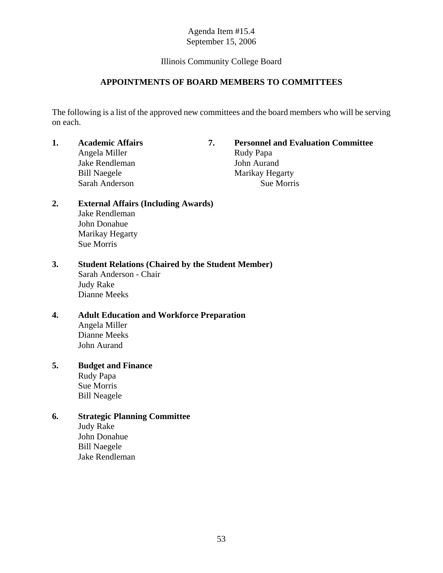## Illinois Community College Board

## **APPOINTMENTS OF BOARD MEMBERS TO COMMITTEES**

The following is a list of the approved new committees and the board members who will be serving on each.

Angela Miller Rudy Papa Jake Rendleman John Aurand Bill Naegele Marikay Hegarty Sarah Anderson Sue Morris

# **1. Academic Affairs 7. Personnel and Evaluation Committee**

#### **2. External Affairs (Including Awards)** Jake Rendleman John Donahue Marikay Hegarty Sue Morris

# **3. Student Relations (Chaired by the Student Member)**

Sarah Anderson - Chair Judy Rake Dianne Meeks

# **4. Adult Education and Workforce Preparation**

Angela Miller Dianne Meeks John Aurand

# **5. Budget and Finance**

Rudy Papa Sue Morris Bill Neagele

## **6. Strategic Planning Committee**

Judy Rake John Donahue Bill Naegele Jake Rendleman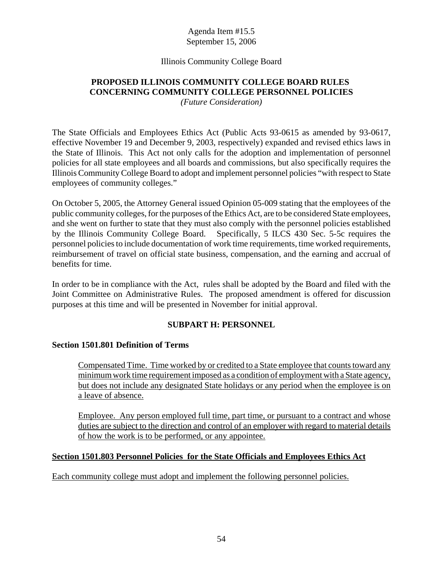#### Illinois Community College Board

# **PROPOSED ILLINOIS COMMUNITY COLLEGE BOARD RULES CONCERNING COMMUNITY COLLEGE PERSONNEL POLICIES**

*(Future Consideration)*

The State Officials and Employees Ethics Act (Public Acts 93-0615 as amended by 93-0617, effective November 19 and December 9, 2003, respectively) expanded and revised ethics laws in the State of Illinois. This Act not only calls for the adoption and implementation of personnel policies for all state employees and all boards and commissions, but also specifically requires the Illinois Community College Board to adopt and implement personnel policies "with respect to State employees of community colleges."

On October 5, 2005, the Attorney General issued Opinion 05-009 stating that the employees of the public community colleges, for the purposes of the Ethics Act, are to be considered State employees, and she went on further to state that they must also comply with the personnel policies established by the Illinois Community College Board. Specifically, 5 ILCS 430 Sec. 5-5c requires the personnel policies to include documentation of work time requirements, time worked requirements, reimbursement of travel on official state business, compensation, and the earning and accrual of benefits for time.

In order to be in compliance with the Act, rules shall be adopted by the Board and filed with the Joint Committee on Administrative Rules. The proposed amendment is offered for discussion purposes at this time and will be presented in November for initial approval.

## **SUBPART H: PERSONNEL**

#### **Section 1501.801 Definition of Terms**

Compensated Time. Time worked by or credited to a State employee that counts toward any minimum work time requirement imposed as a condition of employment with a State agency, but does not include any designated State holidays or any period when the employee is on a leave of absence.

Employee. Any person employed full time, part time, or pursuant to a contract and whose duties are subject to the direction and control of an employer with regard to material details of how the work is to be performed, or any appointee.

#### **Section 1501.803 Personnel Policies for the State Officials and Employees Ethics Act**

Each community college must adopt and implement the following personnel policies.